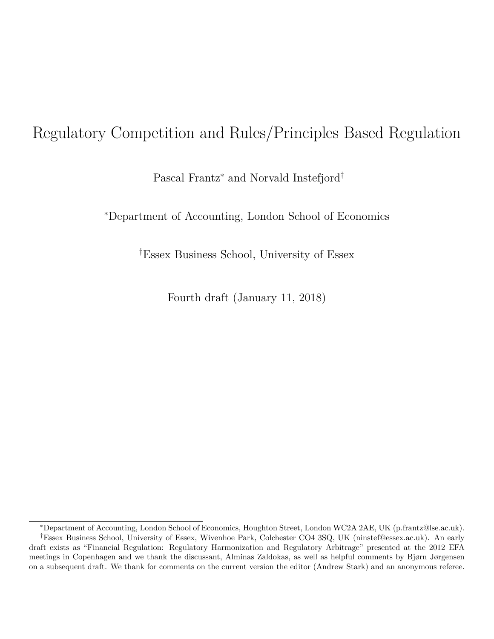# Regulatory Competition and Rules/Principles Based Regulation

Pascal Frantz<sup>∗</sup> and Norvald Instefjord†

<sup>∗</sup>Department of Accounting, London School of Economics

†Essex Business School, University of Essex

Fourth draft (January 11, 2018)

<sup>∗</sup>Department of Accounting, London School of Economics, Houghton Street, London WC2A 2AE, UK (p.frantz@lse.ac.uk).

<sup>†</sup>Essex Business School, University of Essex, Wivenhoe Park, Colchester CO4 3SQ, UK (ninstef@essex.ac.uk). An early draft exists as "Financial Regulation: Regulatory Harmonization and Regulatory Arbitrage" presented at the 2012 EFA meetings in Copenhagen and we thank the discussant, Alminas Zaldokas, as well as helpful comments by Bjørn Jørgensen on a subsequent draft. We thank for comments on the current version the editor (Andrew Stark) and an anonymous referee.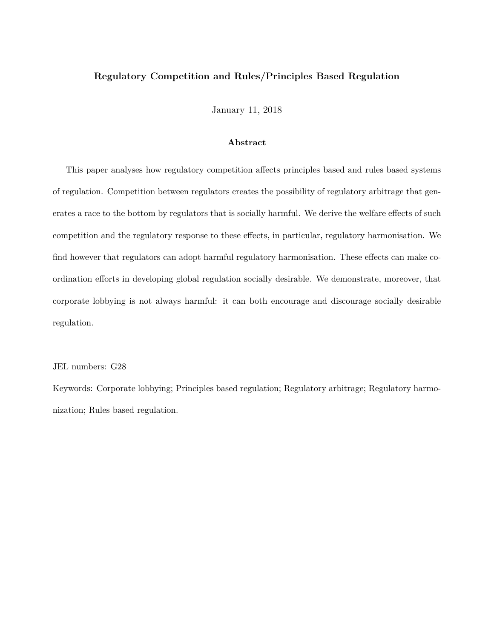#### **Regulatory Competition and Rules/Principles Based Regulation**

January 11, 2018

#### **Abstract**

This paper analyses how regulatory competition affects principles based and rules based systems of regulation. Competition between regulators creates the possibility of regulatory arbitrage that generates a race to the bottom by regulators that is socially harmful. We derive the welfare effects of such competition and the regulatory response to these effects, in particular, regulatory harmonisation. We find however that regulators can adopt harmful regulatory harmonisation. These effects can make coordination efforts in developing global regulation socially desirable. We demonstrate, moreover, that corporate lobbying is not always harmful: it can both encourage and discourage socially desirable regulation.

#### JEL numbers: G28

Keywords: Corporate lobbying; Principles based regulation; Regulatory arbitrage; Regulatory harmonization; Rules based regulation.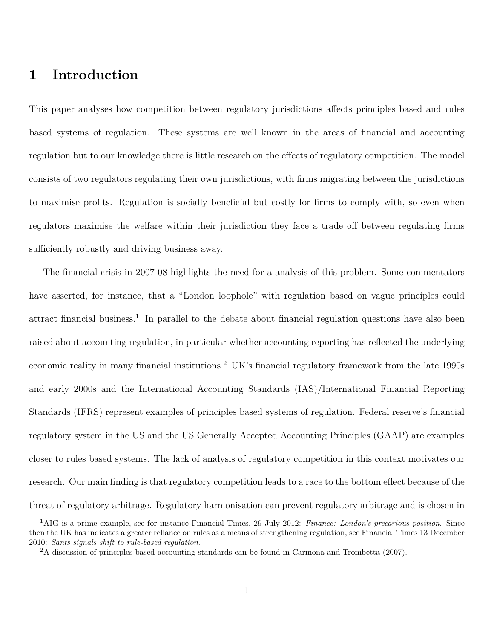## **1 Introduction**

This paper analyses how competition between regulatory jurisdictions affects principles based and rules based systems of regulation. These systems are well known in the areas of financial and accounting regulation but to our knowledge there is little research on the effects of regulatory competition. The model consists of two regulators regulating their own jurisdictions, with firms migrating between the jurisdictions to maximise profits. Regulation is socially beneficial but costly for firms to comply with, so even when regulators maximise the welfare within their jurisdiction they face a trade off between regulating firms sufficiently robustly and driving business away.

The financial crisis in 2007-08 highlights the need for a analysis of this problem. Some commentators have asserted, for instance, that a "London loophole" with regulation based on vague principles could attract financial business.<sup>1</sup> In parallel to the debate about financial regulation questions have also been raised about accounting regulation, in particular whether accounting reporting has reflected the underlying economic reality in many financial institutions.<sup>2</sup> UK's financial regulatory framework from the late 1990s and early 2000s and the International Accounting Standards (IAS)/International Financial Reporting Standards (IFRS) represent examples of principles based systems of regulation. Federal reserve's financial regulatory system in the US and the US Generally Accepted Accounting Principles (GAAP) are examples closer to rules based systems. The lack of analysis of regulatory competition in this context motivates our research. Our main finding is that regulatory competition leads to a race to the bottom effect because of the threat of regulatory arbitrage. Regulatory harmonisation can prevent regulatory arbitrage and is chosen in

<sup>1</sup>AIG is a prime example, see for instance Financial Times, 29 July 2012: *Finance: London's precarious position*. Since then the UK has indicates a greater reliance on rules as a means of strengthening regulation, see Financial Times 13 December 2010: *Sants signals shift to rule-based regulation*.

<sup>2</sup>A discussion of principles based accounting standards can be found in Carmona and Trombetta (2007).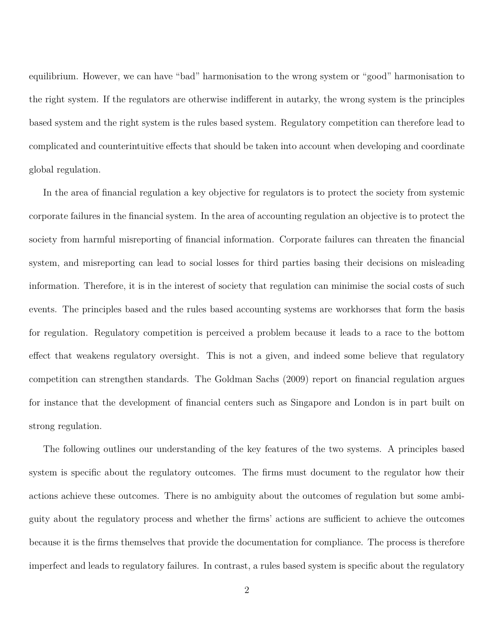equilibrium. However, we can have "bad" harmonisation to the wrong system or "good" harmonisation to the right system. If the regulators are otherwise indifferent in autarky, the wrong system is the principles based system and the right system is the rules based system. Regulatory competition can therefore lead to complicated and counterintuitive effects that should be taken into account when developing and coordinate global regulation.

In the area of financial regulation a key objective for regulators is to protect the society from systemic corporate failures in the financial system. In the area of accounting regulation an objective is to protect the society from harmful misreporting of financial information. Corporate failures can threaten the financial system, and misreporting can lead to social losses for third parties basing their decisions on misleading information. Therefore, it is in the interest of society that regulation can minimise the social costs of such events. The principles based and the rules based accounting systems are workhorses that form the basis for regulation. Regulatory competition is perceived a problem because it leads to a race to the bottom effect that weakens regulatory oversight. This is not a given, and indeed some believe that regulatory competition can strengthen standards. The Goldman Sachs (2009) report on financial regulation argues for instance that the development of financial centers such as Singapore and London is in part built on strong regulation.

The following outlines our understanding of the key features of the two systems. A principles based system is specific about the regulatory outcomes. The firms must document to the regulator how their actions achieve these outcomes. There is no ambiguity about the outcomes of regulation but some ambiguity about the regulatory process and whether the firms' actions are sufficient to achieve the outcomes because it is the firms themselves that provide the documentation for compliance. The process is therefore imperfect and leads to regulatory failures. In contrast, a rules based system is specific about the regulatory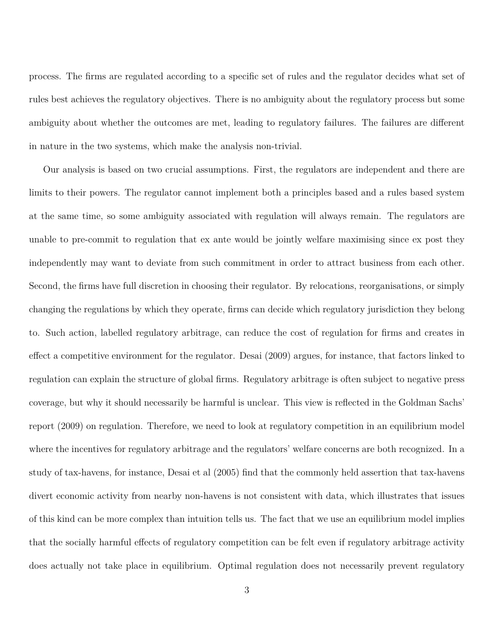process. The firms are regulated according to a specific set of rules and the regulator decides what set of rules best achieves the regulatory objectives. There is no ambiguity about the regulatory process but some ambiguity about whether the outcomes are met, leading to regulatory failures. The failures are different in nature in the two systems, which make the analysis non-trivial.

Our analysis is based on two crucial assumptions. First, the regulators are independent and there are limits to their powers. The regulator cannot implement both a principles based and a rules based system at the same time, so some ambiguity associated with regulation will always remain. The regulators are unable to pre-commit to regulation that ex ante would be jointly welfare maximising since ex post they independently may want to deviate from such commitment in order to attract business from each other. Second, the firms have full discretion in choosing their regulator. By relocations, reorganisations, or simply changing the regulations by which they operate, firms can decide which regulatory jurisdiction they belong to. Such action, labelled regulatory arbitrage, can reduce the cost of regulation for firms and creates in effect a competitive environment for the regulator. Desai (2009) argues, for instance, that factors linked to regulation can explain the structure of global firms. Regulatory arbitrage is often subject to negative press coverage, but why it should necessarily be harmful is unclear. This view is reflected in the Goldman Sachs' report (2009) on regulation. Therefore, we need to look at regulatory competition in an equilibrium model where the incentives for regulatory arbitrage and the regulators' welfare concerns are both recognized. In a study of tax-havens, for instance, Desai et al (2005) find that the commonly held assertion that tax-havens divert economic activity from nearby non-havens is not consistent with data, which illustrates that issues of this kind can be more complex than intuition tells us. The fact that we use an equilibrium model implies that the socially harmful effects of regulatory competition can be felt even if regulatory arbitrage activity does actually not take place in equilibrium. Optimal regulation does not necessarily prevent regulatory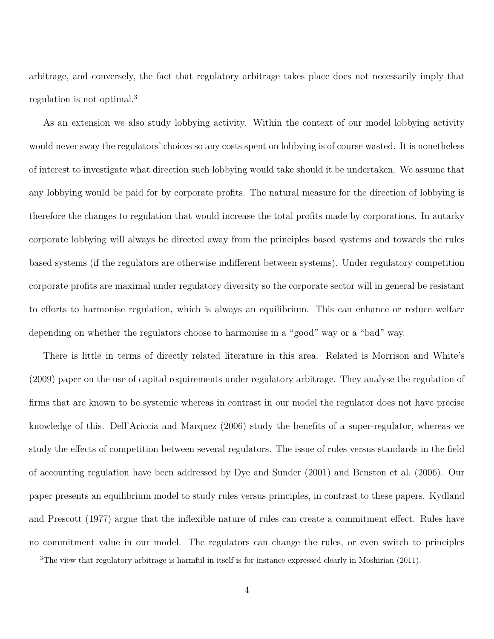arbitrage, and conversely, the fact that regulatory arbitrage takes place does not necessarily imply that regulation is not optimal.<sup>3</sup>

As an extension we also study lobbying activity. Within the context of our model lobbying activity would never sway the regulators' choices so any costs spent on lobbying is of course wasted. It is nonetheless of interest to investigate what direction such lobbying would take should it be undertaken. We assume that any lobbying would be paid for by corporate profits. The natural measure for the direction of lobbying is therefore the changes to regulation that would increase the total profits made by corporations. In autarky corporate lobbying will always be directed away from the principles based systems and towards the rules based systems (if the regulators are otherwise indifferent between systems). Under regulatory competition corporate profits are maximal under regulatory diversity so the corporate sector will in general be resistant to efforts to harmonise regulation, which is always an equilibrium. This can enhance or reduce welfare depending on whether the regulators choose to harmonise in a "good" way or a "bad" way.

There is little in terms of directly related literature in this area. Related is Morrison and White's (2009) paper on the use of capital requirements under regulatory arbitrage. They analyse the regulation of firms that are known to be systemic whereas in contrast in our model the regulator does not have precise knowledge of this. Dell'Ariccia and Marquez (2006) study the benefits of a super-regulator, whereas we study the effects of competition between several regulators. The issue of rules versus standards in the field of accounting regulation have been addressed by Dye and Sunder (2001) and Benston et al. (2006). Our paper presents an equilibrium model to study rules versus principles, in contrast to these papers. Kydland and Prescott (1977) argue that the inflexible nature of rules can create a commitment effect. Rules have no commitment value in our model. The regulators can change the rules, or even switch to principles

<sup>3</sup>The view that regulatory arbitrage is harmful in itself is for instance expressed clearly in Moshirian (2011).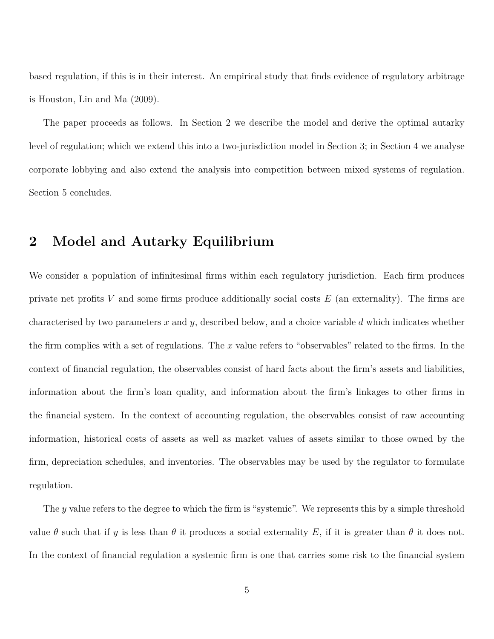based regulation, if this is in their interest. An empirical study that finds evidence of regulatory arbitrage is Houston, Lin and Ma (2009).

The paper proceeds as follows. In Section 2 we describe the model and derive the optimal autarky level of regulation; which we extend this into a two-jurisdiction model in Section 3; in Section 4 we analyse corporate lobbying and also extend the analysis into competition between mixed systems of regulation. Section 5 concludes.

### **2 Model and Autarky Equilibrium**

We consider a population of infinitesimal firms within each regulatory jurisdiction. Each firm produces private net profits *V* and some firms produce additionally social costs *E* (an externality). The firms are characterised by two parameters *x* and *y*, described below, and a choice variable *d* which indicates whether the firm complies with a set of regulations. The *x* value refers to "observables" related to the firms. In the context of financial regulation, the observables consist of hard facts about the firm's assets and liabilities, information about the firm's loan quality, and information about the firm's linkages to other firms in the financial system. In the context of accounting regulation, the observables consist of raw accounting information, historical costs of assets as well as market values of assets similar to those owned by the firm, depreciation schedules, and inventories. The observables may be used by the regulator to formulate regulation.

The *y* value refers to the degree to which the firm is "systemic". We represents this by a simple threshold value  $\theta$  such that if *y* is less than  $\theta$  it produces a social externality *E*, if it is greater than  $\theta$  it does not. In the context of financial regulation a systemic firm is one that carries some risk to the financial system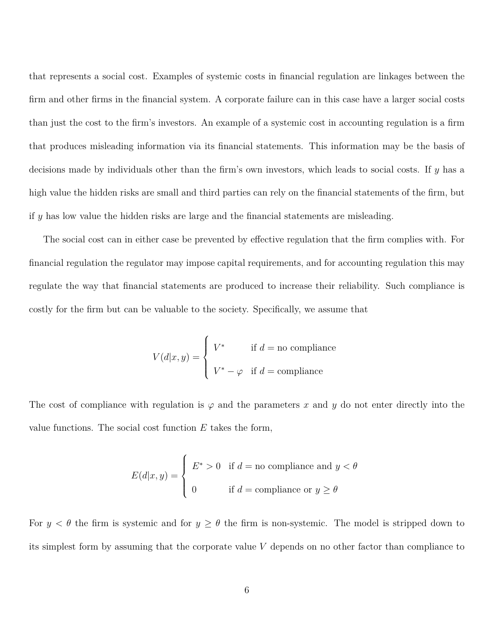that represents a social cost. Examples of systemic costs in financial regulation are linkages between the firm and other firms in the financial system. A corporate failure can in this case have a larger social costs than just the cost to the firm's investors. An example of a systemic cost in accounting regulation is a firm that produces misleading information via its financial statements. This information may be the basis of decisions made by individuals other than the firm's own investors, which leads to social costs. If *y* has a high value the hidden risks are small and third parties can rely on the financial statements of the firm, but if *y* has low value the hidden risks are large and the financial statements are misleading.

The social cost can in either case be prevented by effective regulation that the firm complies with. For financial regulation the regulator may impose capital requirements, and for accounting regulation this may regulate the way that financial statements are produced to increase their reliability. Such compliance is costly for the firm but can be valuable to the society. Specifically, we assume that

$$
V(d|x,y) = \begin{cases} V^* & \text{if } d = \text{no compliance} \\ V^* - \varphi & \text{if } d = \text{compliance} \end{cases}
$$

The cost of compliance with regulation is  $\varphi$  and the parameters x and y do not enter directly into the value functions. The social cost function *E* takes the form,

$$
E(d|x,y) = \begin{cases} E^* > 0 & \text{if } d = \text{no compliance and } y < \theta \\ 0 & \text{if } d = \text{compliance or } y \ge \theta \end{cases}
$$

For  $y < \theta$  the firm is systemic and for  $y \ge \theta$  the firm is non-systemic. The model is stripped down to its simplest form by assuming that the corporate value *V* depends on no other factor than compliance to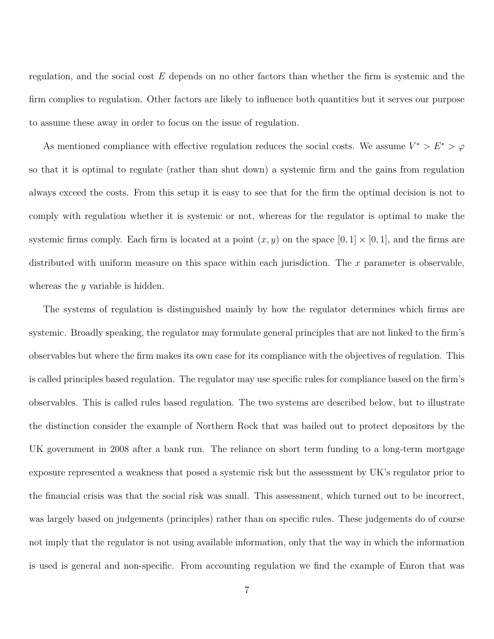regulation, and the social cost *E* depends on no other factors than whether the firm is systemic and the firm complies to regulation. Other factors are likely to influence both quantities but it serves our purpose to assume these away in order to focus on the issue of regulation.

As mentioned compliance with effective regulation reduces the social costs. We assume  $V^* > E^* > \varphi$ so that it is optimal to regulate (rather than shut down) a systemic firm and the gains from regulation always exceed the costs. From this setup it is easy to see that for the firm the optimal decision is not to comply with regulation whether it is systemic or not, whereas for the regulator is optimal to make the systemic firms comply. Each firm is located at a point  $(x, y)$  on the space  $[0, 1] \times [0, 1]$ , and the firms are distributed with uniform measure on this space within each jurisdiction. The *x* parameter is observable, whereas the *y* variable is hidden.

The systems of regulation is distinguished mainly by how the regulator determines which firms are systemic. Broadly speaking, the regulator may formulate general principles that are not linked to the firm's observables but where the firm makes its own case for its compliance with the objectives of regulation. This is called principles based regulation. The regulator may use specific rules for compliance based on the firm's observables. This is called rules based regulation. The two systems are described below, but to illustrate the distinction consider the example of Northern Rock that was bailed out to protect depositors by the UK government in 2008 after a bank run. The reliance on short term funding to a long-term mortgage exposure represented a weakness that posed a systemic risk but the assessment by UK's regulator prior to the financial crisis was that the social risk was small. This assessment, which turned out to be incorrect, was largely based on judgements (principles) rather than on specific rules. These judgements do of course not imply that the regulator is not using available information, only that the way in which the information is used is general and non-specific. From accounting regulation we find the example of Enron that was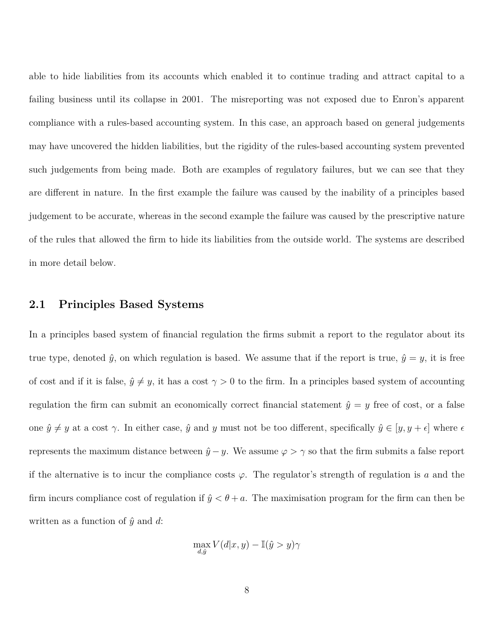able to hide liabilities from its accounts which enabled it to continue trading and attract capital to a failing business until its collapse in 2001. The misreporting was not exposed due to Enron's apparent compliance with a rules-based accounting system. In this case, an approach based on general judgements may have uncovered the hidden liabilities, but the rigidity of the rules-based accounting system prevented such judgements from being made. Both are examples of regulatory failures, but we can see that they are different in nature. In the first example the failure was caused by the inability of a principles based judgement to be accurate, whereas in the second example the failure was caused by the prescriptive nature of the rules that allowed the firm to hide its liabilities from the outside world. The systems are described in more detail below.

#### **2.1 Principles Based Systems**

In a principles based system of financial regulation the firms submit a report to the regulator about its true type, denoted  $\hat{y}$ , on which regulation is based. We assume that if the report is true,  $\hat{y} = y$ , it is free of cost and if it is false,  $\hat{y} \neq y$ , it has a cost  $\gamma > 0$  to the firm. In a principles based system of accounting regulation the firm can submit an economically correct financial statement  $\hat{y} = y$  free of cost, or a false one  $\hat{y} \neq y$  at a cost  $\gamma$ . In either case,  $\hat{y}$  and *y* must not be too different, specifically  $\hat{y} \in [y, y + \epsilon]$  where  $\epsilon$ represents the maximum distance between  $\hat{y}$  − *y*. We assume  $\varphi > \gamma$  so that the firm submits a false report if the alternative is to incur the compliance costs  $\varphi$ . The regulator's strength of regulation is *a* and the firm incurs compliance cost of regulation if  $\hat{y} < \theta + a$ . The maximisation program for the firm can then be written as a function of  $\hat{y}$  and *d*:

$$
\max_{d,\hat{y}} V(d|x,y) - \mathbb{I}(\hat{y} > y) \gamma
$$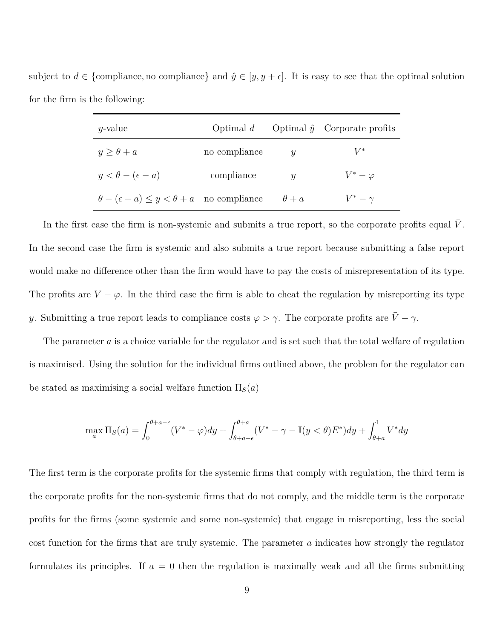subject to  $d \in \{\text{compliance}, \text{no compliance}\}\$  and  $\hat{y} \in [y, y + \epsilon]$ . It is easy to see that the optimal solution for the firm is the following:

| $y$ -value                                                  | Optimal $d$   |                  | Optimal $\hat{y}$ Corporate profits |
|-------------------------------------------------------------|---------------|------------------|-------------------------------------|
| $y > \theta + a$                                            | no compliance | $\boldsymbol{y}$ | $V^*$                               |
| $y < \theta - (\epsilon - a)$                               | compliance    | $\boldsymbol{u}$ | $V^*-\varphi$                       |
| $\theta - (\epsilon - a) \leq y < \theta + a$ no compliance |               | $\theta + a$     | $V^*-\gamma$                        |

In the first case the firm is non-systemic and submits a true report, so the corporate profits equal V. In the second case the firm is systemic and also submits a true report because submitting a false report would make no difference other than the firm would have to pay the costs of misrepresentation of its type. The profits are  $\bar{V} - \varphi$ . In the third case the firm is able to cheat the regulation by misreporting its type *y*. Submitting a true report leads to compliance costs  $\varphi > \gamma$ . The corporate profits are  $\bar{V} - \gamma$ .

The parameter *a* is a choice variable for the regulator and is set such that the total welfare of regulation is maximised. Using the solution for the individual firms outlined above, the problem for the regulator can be stated as maximising a social welfare function  $\Pi_S(a)$ 

$$
\max_{a} \Pi_{S}(a) = \int_{0}^{\theta+a-\epsilon} (V^* - \varphi) dy + \int_{\theta+a-\epsilon}^{\theta+a} (V^* - \gamma - \mathbb{I}(y < \theta) E^*) dy + \int_{\theta+a}^{1} V^* dy
$$

The first term is the corporate profits for the systemic firms that comply with regulation, the third term is the corporate profits for the non-systemic firms that do not comply, and the middle term is the corporate profits for the firms (some systemic and some non-systemic) that engage in misreporting, less the social cost function for the firms that are truly systemic. The parameter *a* indicates how strongly the regulator formulates its principles. If  $a = 0$  then the regulation is maximally weak and all the firms submitting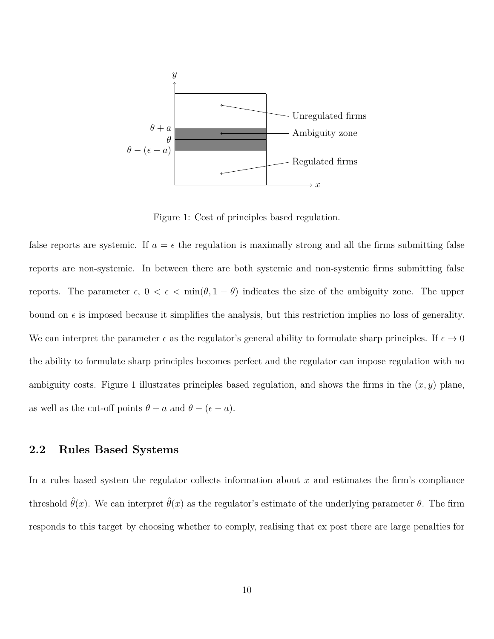

Figure 1: Cost of principles based regulation.

false reports are systemic. If  $a = \epsilon$  the regulation is maximally strong and all the firms submitting false reports are non-systemic. In between there are both systemic and non-systemic firms submitting false reports. The parameter  $\epsilon$ ,  $0 < \epsilon < \min(\theta, 1 - \theta)$  indicates the size of the ambiguity zone. The upper bound on  $\epsilon$  is imposed because it simplifies the analysis, but this restriction implies no loss of generality. We can interpret the parameter  $\epsilon$  as the regulator's general ability to formulate sharp principles. If  $\epsilon \to 0$ the ability to formulate sharp principles becomes perfect and the regulator can impose regulation with no ambiguity costs. Figure 1 illustrates principles based regulation, and shows the firms in the  $(x, y)$  plane, as well as the cut-off points  $\theta + a$  and  $\theta - (\epsilon - a)$ .

### **2.2 Rules Based Systems**

In a rules based system the regulator collects information about *x* and estimates the firm's compliance threshold  $\hat{\theta}(x)$ . We can interpret  $\hat{\theta}(x)$  as the regulator's estimate of the underlying parameter  $\theta$ . The firm responds to this target by choosing whether to comply, realising that ex post there are large penalties for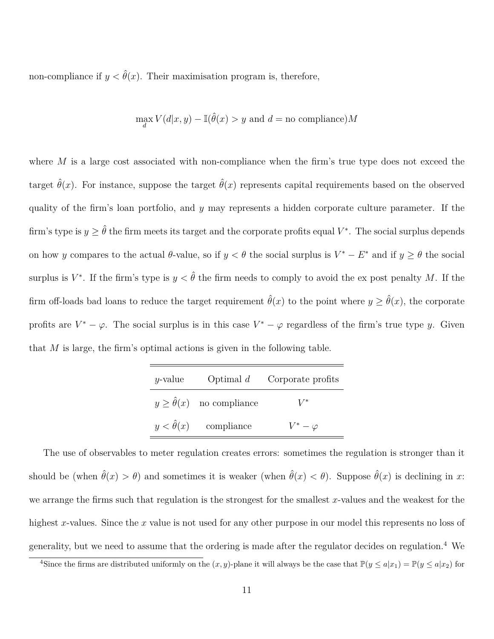non-compliance if  $y < \hat{\theta}(x)$ . Their maximisation program is, therefore,

$$
\max_d V(d|x,y) - \mathbb{I}(\hat{\theta}(x) > y \text{ and } d = \text{no compliance})M
$$

where *M* is a large cost associated with non-compliance when the firm's true type does not exceed the target  $\hat{\theta}(x)$ . For instance, suppose the target  $\hat{\theta}(x)$  represents capital requirements based on the observed quality of the firm's loan portfolio, and *y* may represents a hidden corporate culture parameter. If the firm's type is  $y \geq \hat{\theta}$  the firm meets its target and the corporate profits equal  $V^*$ . The social surplus depends on how *y* compares to the actual  $\theta$ -value, so if  $y < \theta$  the social surplus is  $V^* - E^*$  and if  $y \ge \theta$  the social surplus is  $V^*$ . If the firm's type is  $y < \hat{\theta}$  the firm needs to comply to avoid the ex post penalty *M*. If the firm off-loads bad loans to reduce the target requirement  $\hat{\theta}(x)$  to the point where  $y \geq \hat{\theta}(x)$ , the corporate profits are  $V^* - \varphi$ . The social surplus is in this case  $V^* - \varphi$  regardless of the firm's true type *y*. Given that *M* is large, the firm's optimal actions is given in the following table.

| $y$ -value |                                        | Optimal $d$ Corporate profits |
|------------|----------------------------------------|-------------------------------|
|            | $y \geq \hat{\theta}(x)$ no compliance | $V^*$                         |
|            | $y < \hat{\theta}(x)$ compliance       | $V^*-\varphi$                 |

The use of observables to meter regulation creates errors: sometimes the regulation is stronger than it should be (when  $\hat{\theta}(x) > \theta$ ) and sometimes it is weaker (when  $\hat{\theta}(x) < \theta$ ). Suppose  $\hat{\theta}(x)$  is declining in *x*: we arrange the firms such that regulation is the strongest for the smallest *x*-values and the weakest for the highest *x*-values. Since the *x* value is not used for any other purpose in our model this represents no loss of generality, but we need to assume that the ordering is made after the regulator decides on regulation.<sup>4</sup> We

<sup>&</sup>lt;sup>4</sup>Since the firms are distributed uniformly on the  $(x, y)$ -plane it will always be the case that  $\mathbb{P}(y \leq a|x_1) = \mathbb{P}(y \leq a|x_2)$  for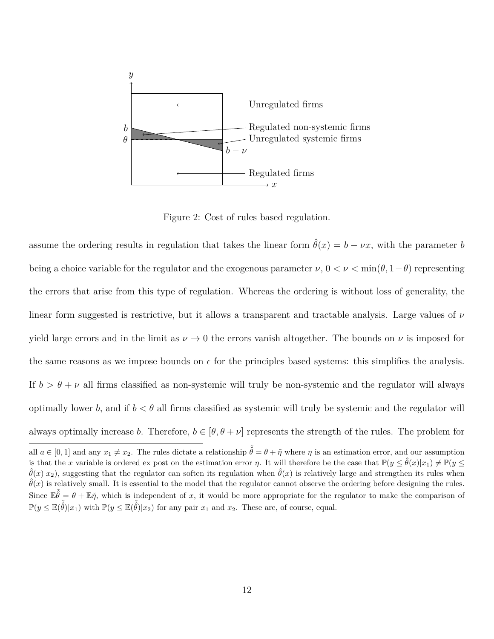

Figure 2: Cost of rules based regulation.

assume the ordering results in regulation that takes the linear form  $\hat{\theta}(x) = b - \nu x$ , with the parameter *b* being a choice variable for the regulator and the exogenous parameter  $\nu$ ,  $0 < \nu < \min(\theta, 1-\theta)$  representing the errors that arise from this type of regulation. Whereas the ordering is without loss of generality, the linear form suggested is restrictive, but it allows a transparent and tractable analysis. Large values of *ν* yield large errors and in the limit as  $\nu \rightarrow 0$  the errors vanish altogether. The bounds on  $\nu$  is imposed for the same reasons as we impose bounds on  $\epsilon$  for the principles based systems: this simplifies the analysis. If  $b > \theta + \nu$  all firms classified as non-systemic will truly be non-systemic and the regulator will always optimally lower *b*, and if  $b < \theta$  all firms classified as systemic will truly be systemic and the regulator will always optimally increase *b*. Therefore,  $b \in [\theta, \theta + \nu]$  represents the strength of the rules. The problem for

all  $a \in [0,1]$  and any  $x_1 \neq x_2$ . The rules dictate a relationship  $\tilde{\theta} = \theta + \tilde{\eta}$  where  $\eta$  is an estimation error, and our assumption is that the *x* variable is ordered ex post on the estimation error *η*. It will therefore be the case that  $\mathbb{P}(y \leq \hat{\theta}(x)|x_1) \neq \mathbb{P}(y \leq \hat{\theta}(x)|x_2|$  $\hat{\theta}(x)|x_2|$ , suggesting that the regulator can soften its regulation when  $\hat{\theta}(x)$  is relatively large and strengthen its rules when  $\hat{\theta}(x)$  is relatively small. It is essential to the model that the regulator cannot observe the ordering before designing the rules. Since  $\mathbb{E} \tilde{\hat{\theta}} = \theta + \mathbb{E} \tilde{\eta}$ , which is independent of *x*, it would be more appropriate for the regulator to make the comparison of  $\mathbb{P}(y \leq \mathbb{E}(\tilde{\hat{\theta}})|x_1)$  with  $\mathbb{P}(y \leq \mathbb{E}(\tilde{\hat{\theta}})|x_2)$  for any pair  $x_1$  and  $x_2$ . These are, of course, equal.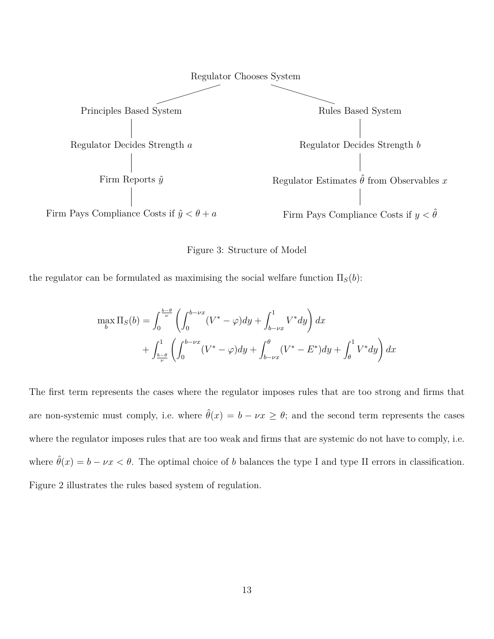

Figure 3: Structure of Model

the regulator can be formulated as maximising the social welfare function  $\Pi_S(b)$ :

$$
\max_{b} \Pi_{S}(b) = \int_{0}^{\frac{b-\theta}{\nu}} \left( \int_{0}^{b-\nu x} (V^* - \varphi) dy + \int_{b-\nu x}^{1} V^* dy \right) dx + \int_{\frac{b-\theta}{\nu}}^{1} \left( \int_{0}^{b-\nu x} (V^* - \varphi) dy + \int_{b-\nu x}^{\theta} (V^* - E^*) dy + \int_{\theta}^{1} V^* dy \right) dx
$$

The first term represents the cases where the regulator imposes rules that are too strong and firms that are non-systemic must comply, i.e. where  $\hat{\theta}(x) = b - \nu x \ge \theta$ ; and the second term represents the cases where the regulator imposes rules that are too weak and firms that are systemic do not have to comply, i.e. where  $\hat{\theta}(x) = b - \nu x < \theta$ . The optimal choice of *b* balances the type I and type II errors in classification. Figure 2 illustrates the rules based system of regulation.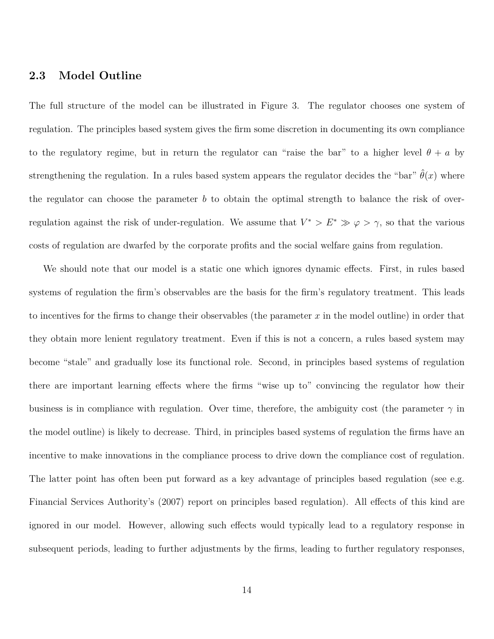### **2.3 Model Outline**

The full structure of the model can be illustrated in Figure 3. The regulator chooses one system of regulation. The principles based system gives the firm some discretion in documenting its own compliance to the regulatory regime, but in return the regulator can "raise the bar" to a higher level  $\theta + a$  by strengthening the regulation. In a rules based system appears the regulator decides the "bar"  $\hat{\theta}(x)$  where the regulator can choose the parameter *b* to obtain the optimal strength to balance the risk of overregulation against the risk of under-regulation. We assume that  $V^* > E^* \gg \varphi > \gamma$ , so that the various costs of regulation are dwarfed by the corporate profits and the social welfare gains from regulation.

We should note that our model is a static one which ignores dynamic effects. First, in rules based systems of regulation the firm's observables are the basis for the firm's regulatory treatment. This leads to incentives for the firms to change their observables (the parameter *x* in the model outline) in order that they obtain more lenient regulatory treatment. Even if this is not a concern, a rules based system may become "stale" and gradually lose its functional role. Second, in principles based systems of regulation there are important learning effects where the firms "wise up to" convincing the regulator how their business is in compliance with regulation. Over time, therefore, the ambiguity cost (the parameter  $\gamma$  in the model outline) is likely to decrease. Third, in principles based systems of regulation the firms have an incentive to make innovations in the compliance process to drive down the compliance cost of regulation. The latter point has often been put forward as a key advantage of principles based regulation (see e.g. Financial Services Authority's (2007) report on principles based regulation). All effects of this kind are ignored in our model. However, allowing such effects would typically lead to a regulatory response in subsequent periods, leading to further adjustments by the firms, leading to further regulatory responses,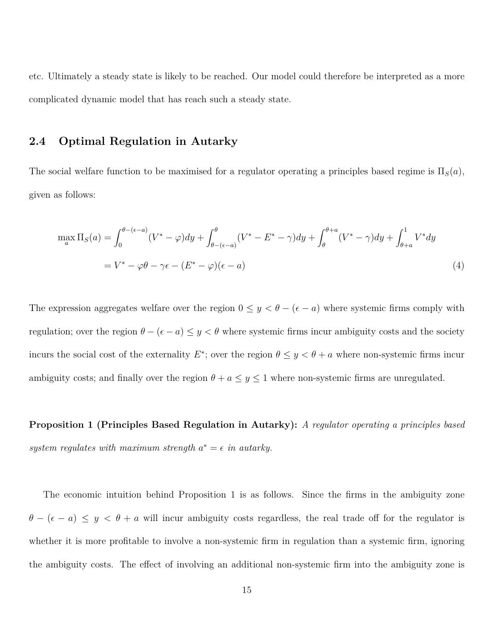etc. Ultimately a steady state is likely to be reached. Our model could therefore be interpreted as a more complicated dynamic model that has reach such a steady state.

### **2.4 Optimal Regulation in Autarky**

The social welfare function to be maximised for a regulator operating a principles based regime is  $\Pi<sub>S</sub>(a)$ , given as follows:

$$
\max_{a} \Pi_{S}(a) = \int_{0}^{\theta - (\epsilon - a)} (V^* - \varphi) dy + \int_{\theta - (\epsilon - a)}^{\theta} (V^* - E^* - \gamma) dy + \int_{\theta}^{\theta + a} (V^* - \gamma) dy + \int_{\theta + a}^{1} V^* dy
$$
  
=  $V^* - \varphi \theta - \gamma \epsilon - (E^* - \varphi)(\epsilon - a)$  (4)

The expression aggregates welfare over the region  $0 \leq y < \theta - (\epsilon - a)$  where systemic firms comply with regulation; over the region  $\theta - (\epsilon - a) \le y < \theta$  where systemic firms incur ambiguity costs and the society incurs the social cost of the externality  $E^*$ ; over the region  $\theta \leq y < \theta + a$  where non-systemic firms incur ambiguity costs; and finally over the region  $\theta + a \leq y \leq 1$  where non-systemic firms are unregulated.

**Proposition 1 (Principles Based Regulation in Autarky):** *A regulator operating a principles based* system regulates with maximum strength  $a^* = \epsilon$  in autarky.

The economic intuition behind Proposition 1 is as follows. Since the firms in the ambiguity zone  $\theta$  − ( $\epsilon$  − *a*)  $\le$  *y*  $\lt$  *θ* + *a* will incur ambiguity costs regardless, the real trade off for the regulator is whether it is more profitable to involve a non-systemic firm in regulation than a systemic firm, ignoring the ambiguity costs. The effect of involving an additional non-systemic firm into the ambiguity zone is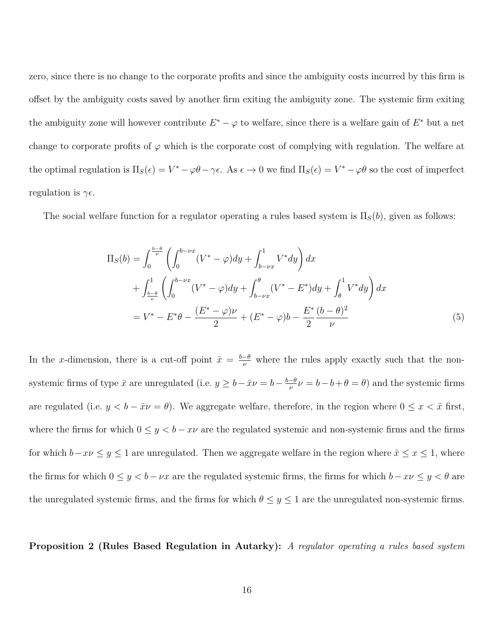zero, since there is no change to the corporate profits and since the ambiguity costs incurred by this firm is offset by the ambiguity costs saved by another firm exiting the ambiguity zone. The systemic firm exiting the ambiguity zone will however contribute  $E^* - \varphi$  to welfare, since there is a welfare gain of  $E^*$  but a net change to corporate profits of  $\varphi$  which is the corporate cost of complying with regulation. The welfare at the optimal regulation is  $\Pi_S(\epsilon) = V^* - \varphi \theta - \gamma \epsilon$ . As  $\epsilon \to 0$  we find  $\Pi_S(\epsilon) = V^* - \varphi \theta$  so the cost of imperfect regulation is  $\gamma \epsilon$ .

The social welfare function for a regulator operating a rules based system is  $\Pi_S(b)$ , given as follows:

$$
\Pi_{S}(b) = \int_{0}^{\frac{b-\theta}{\nu}} \left( \int_{0}^{b-\nu x} (V^* - \varphi) dy + \int_{b-\nu x}^{1} V^* dy \right) dx \n+ \int_{\frac{b-\theta}{\nu}}^{1} \left( \int_{0}^{b-\nu x} (V^* - \varphi) dy + \int_{b-\nu x}^{\theta} (V^* - E^*) dy + \int_{\theta}^{1} V^* dy \right) dx \n= V^* - E^* \theta - \frac{(E^* - \varphi)\nu}{2} + (E^* - \varphi)b - \frac{E^*}{2} \frac{(b-\theta)^2}{\nu}
$$
\n(5)

In the *x*-dimension, there is a cut-off point  $\bar{x} = \frac{b-\theta}{\nu}$  where the rules apply exactly such that the nonsystemic firms of type  $\bar{x}$  are unregulated (i.e.  $y \geq b - \bar{x}\nu = b - \frac{b-\theta}{\mu}$  $\frac{-\theta}{\nu} \nu = b - b + \theta = \theta$  and the systemic firms are regulated (i.e.  $y < b - \bar{x}\nu = \theta$ ). We aggregate welfare, therefore, in the region where  $0 \le x < \bar{x}$  first, where the firms for which  $0 \le y < b - x\nu$  are the regulated systemic and non-systemic firms and the firms for which  $b-x\nu \leq y \leq 1$  are unregulated. Then we aggregate welfare in the region where  $\bar{x} \leq x \leq 1$ , where the firms for which  $0 \le y < b - \nu x$  are the regulated systemic firms, the firms for which  $b - x\nu \le y < \theta$  are the unregulated systemic firms, and the firms for which  $\theta \leq y \leq 1$  are the unregulated non-systemic firms.

**Proposition 2 (Rules Based Regulation in Autarky):** *A regulator operating a rules based system*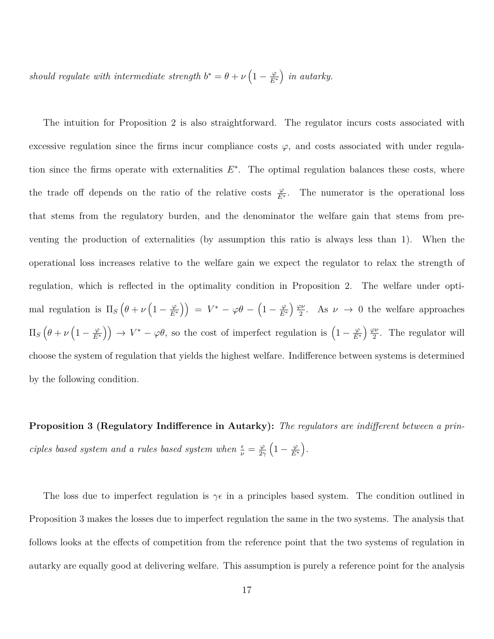*should regulate with intermediate strength*  $b^* = \theta + \nu \left(1 - \frac{\varphi}{E^2}\right)$ *E*<sup>∗</sup> *in autarky.*

The intuition for Proposition 2 is also straightforward. The regulator incurs costs associated with excessive regulation since the firms incur compliance costs  $\varphi$ , and costs associated with under regulation since the firms operate with externalities  $E^*$ . The optimal regulation balances these costs, where the trade off depends on the ratio of the relative costs  $\frac{\varphi}{E^*}$ . The numerator is the operational loss that stems from the regulatory burden, and the denominator the welfare gain that stems from preventing the production of externalities (by assumption this ratio is always less than 1). When the operational loss increases relative to the welfare gain we expect the regulator to relax the strength of regulation, which is reflected in the optimality condition in Proposition 2. The welfare under optimal regulation is  $\Pi_S(\theta + \nu) \left(1 - \frac{\varphi}{E^2}\right)$  $\left(\frac{\varphi}{E^*}\right)\right) \;=\; V^* \,-\, \varphi \theta \,-\, \left(1 - \frac{\varphi}{E^*}\right)$ *E*<sup>∗</sup> *ϕν*  $\frac{\partial \nu}{\partial z}$ . As  $\nu \to 0$  the welfare approaches  $\Pi_S\left(\theta+\nu\left(1-\frac{\varphi}{E^2}\right)\right.$  $\left( \frac{\varphi}{E^*} \right)$   $\rightarrow$   $V^* - \varphi \theta$ , so the cost of imperfect regulation is  $\left( 1 - \frac{\varphi}{E^*} \right)$ *E*<sup>∗</sup> *ϕν*  $\frac{2\nu}{2}$ . The regulator will choose the system of regulation that yields the highest welfare. Indifference between systems is determined by the following condition.

**Proposition 3 (Regulatory Indifference in Autarky):** *The regulators are indifferent between a principles based system and a rules based system when*  $\frac{\epsilon}{\nu} = \frac{\varphi}{2\gamma}$ 2*γ*  $\left(1-\frac{\varphi}{E}\right)$ *E*<sup>∗</sup> *.*

The loss due to imperfect regulation is  $\gamma \epsilon$  in a principles based system. The condition outlined in Proposition 3 makes the losses due to imperfect regulation the same in the two systems. The analysis that follows looks at the effects of competition from the reference point that the two systems of regulation in autarky are equally good at delivering welfare. This assumption is purely a reference point for the analysis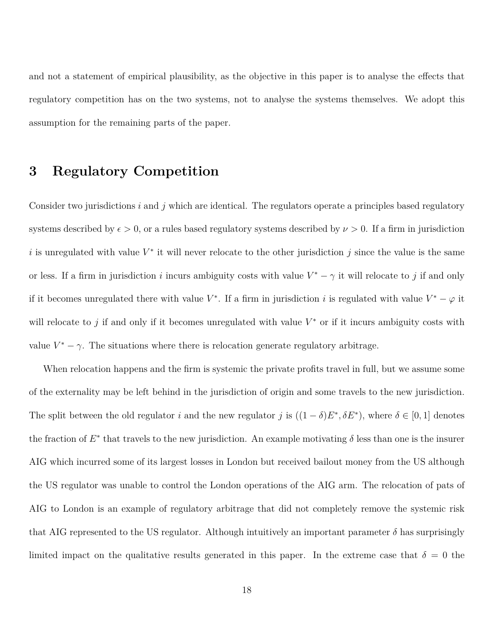and not a statement of empirical plausibility, as the objective in this paper is to analyse the effects that regulatory competition has on the two systems, not to analyse the systems themselves. We adopt this assumption for the remaining parts of the paper.

## **3 Regulatory Competition**

Consider two jurisdictions *i* and *j* which are identical. The regulators operate a principles based regulatory systems described by  $\epsilon > 0$ , or a rules based regulatory systems described by  $\nu > 0$ . If a firm in jurisdiction is unregulated with value  $V^*$  it will never relocate to the other jurisdiction *j* since the value is the same or less. If a firm in jurisdiction *i* incurs ambiguity costs with value  $V^* - \gamma$  it will relocate to *j* if and only if it becomes unregulated there with value  $V^*$ . If a firm in jurisdiction *i* is regulated with value  $V^* - \varphi$  it will relocate to  $j$  if and only if it becomes unregulated with value  $V^*$  or if it incurs ambiguity costs with value  $V^* - \gamma$ . The situations where there is relocation generate regulatory arbitrage.

When relocation happens and the firm is systemic the private profits travel in full, but we assume some of the externality may be left behind in the jurisdiction of origin and some travels to the new jurisdiction. The split between the old regulator *i* and the new regulator *j* is  $((1 - \delta)E^*, \delta E^*)$ , where  $\delta \in [0, 1]$  denotes the fraction of  $E^*$  that travels to the new jurisdiction. An example motivating  $\delta$  less than one is the insurer AIG which incurred some of its largest losses in London but received bailout money from the US although the US regulator was unable to control the London operations of the AIG arm. The relocation of pats of AIG to London is an example of regulatory arbitrage that did not completely remove the systemic risk that AIG represented to the US regulator. Although intuitively an important parameter  $\delta$  has surprisingly limited impact on the qualitative results generated in this paper. In the extreme case that  $\delta = 0$  the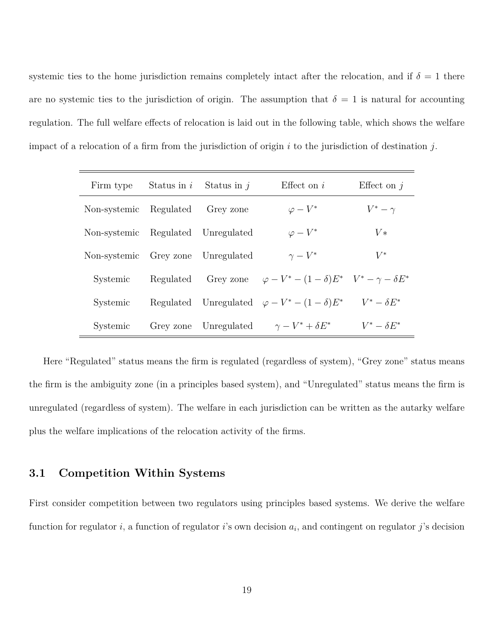systemic ties to the home jurisdiction remains completely intact after the relocation, and if  $\delta = 1$  there are no systemic ties to the jurisdiction of origin. The assumption that  $\delta = 1$  is natural for accounting regulation. The full welfare effects of relocation is laid out in the following table, which shows the welfare impact of a relocation of a firm from the jurisdiction of origin *i* to the jurisdiction of destination *j*.

| Firm type                          | Status in $i$ Status in $j$ | Effect on $i$                                                                     | Effect on $i$      |
|------------------------------------|-----------------------------|-----------------------------------------------------------------------------------|--------------------|
| Non-systemic Regulated             | Grey zone                   | $\varphi-V^*$                                                                     | $V^*-\gamma$       |
| Non-systemic Regulated Unregulated |                             | $\varphi-V^*$                                                                     | $V*$               |
| Non-systemic Grey zone Unregulated |                             | $\gamma-V^*$                                                                      | $V^*$              |
| Systemic                           |                             | Regulated Grey zone $\varphi - V^* - (1 - \delta)E^*$ $V^* - \gamma - \delta E^*$ |                    |
| Systemic                           |                             | Regulated Unregulated $\varphi - V^* - (1 - \delta)E^*$                           | $V^* - \delta E^*$ |
| Systemic                           |                             | Grey zone Unregulated $\gamma - V^* + \delta E^*$                                 | $V^* - \delta E^*$ |

Here "Regulated" status means the firm is regulated (regardless of system), "Grey zone" status means the firm is the ambiguity zone (in a principles based system), and "Unregulated" status means the firm is unregulated (regardless of system). The welfare in each jurisdiction can be written as the autarky welfare plus the welfare implications of the relocation activity of the firms.

### **3.1 Competition Within Systems**

First consider competition between two regulators using principles based systems. We derive the welfare function for regulator *i*, a function of regulator *i*'s own decision *a<sup>i</sup>* , and contingent on regulator *j*'s decision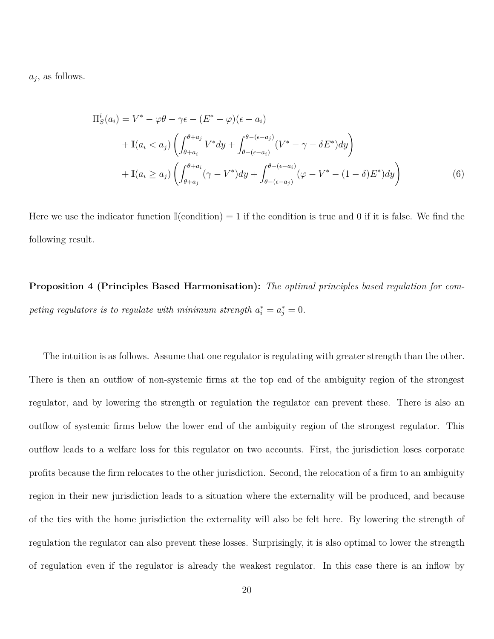*aj* , as follows.

$$
\Pi_S^i(a_i) = V^* - \varphi \theta - \gamma \epsilon - (E^* - \varphi)(\epsilon - a_i)
$$
  
+ 
$$
\mathbb{I}(a_i < a_j) \left( \int_{\theta + a_i}^{\theta + a_j} V^* dy + \int_{\theta - (\epsilon - a_i)}^{\theta - (\epsilon - a_j)} (V^* - \gamma - \delta E^*) dy \right)
$$
  
+ 
$$
\mathbb{I}(a_i \ge a_j) \left( \int_{\theta + a_j}^{\theta + a_i} (\gamma - V^*) dy + \int_{\theta - (\epsilon - a_j)}^{\theta - (\epsilon - a_i)} (\varphi - V^* - (1 - \delta) E^*) dy \right)
$$
(6)

Here we use the indicator function  $\mathbb{I}(\text{condition}) = 1$  if the condition is true and 0 if it is false. We find the following result.

**Proposition 4 (Principles Based Harmonisation):** *The optimal principles based regulation for competing regulators is to regulate with minimum strength*  $a_i^* = a_j^* = 0$ .

The intuition is as follows. Assume that one regulator is regulating with greater strength than the other. There is then an outflow of non-systemic firms at the top end of the ambiguity region of the strongest regulator, and by lowering the strength or regulation the regulator can prevent these. There is also an outflow of systemic firms below the lower end of the ambiguity region of the strongest regulator. This outflow leads to a welfare loss for this regulator on two accounts. First, the jurisdiction loses corporate profits because the firm relocates to the other jurisdiction. Second, the relocation of a firm to an ambiguity region in their new jurisdiction leads to a situation where the externality will be produced, and because of the ties with the home jurisdiction the externality will also be felt here. By lowering the strength of regulation the regulator can also prevent these losses. Surprisingly, it is also optimal to lower the strength of regulation even if the regulator is already the weakest regulator. In this case there is an inflow by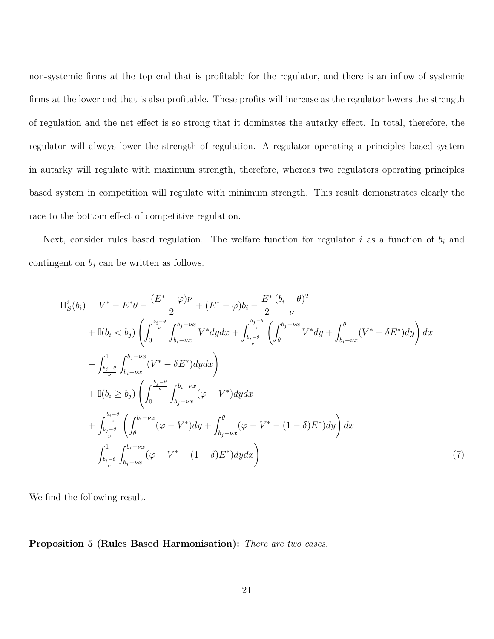non-systemic firms at the top end that is profitable for the regulator, and there is an inflow of systemic firms at the lower end that is also profitable. These profits will increase as the regulator lowers the strength of regulation and the net effect is so strong that it dominates the autarky effect. In total, therefore, the regulator will always lower the strength of regulation. A regulator operating a principles based system in autarky will regulate with maximum strength, therefore, whereas two regulators operating principles based system in competition will regulate with minimum strength. This result demonstrates clearly the race to the bottom effect of competitive regulation.

Next, consider rules based regulation. The welfare function for regulator *i* as a function of *b<sup>i</sup>* and contingent on  $b_j$  can be written as follows.

$$
\Pi_{S}^{i}(b_{i}) = V^{*} - E^{*}\theta - \frac{(E^{*} - \varphi)\nu}{2} + (E^{*} - \varphi)b_{i} - \frac{E^{*}}{2}\frac{(b_{i} - \theta)^{2}}{\nu} \n+ \mathbb{I}(b_{i} < b_{j}) \left( \int_{0}^{\frac{b_{i} - \theta}{\nu}} \int_{b_{i} - \nu x}^{b_{j} - \nu x} V^{*} dy dx + \int_{\frac{b_{i} - \theta}{\nu}}^{\frac{b_{j} - \theta}{\nu}} \left( \int_{\theta}^{b_{j} - \nu x} V^{*} dy + \int_{b_{i} - \nu x}^{\theta} (V^{*} - \delta E^{*}) dy \right) dx \n+ \int_{\frac{b_{j} - \theta}{\nu}}^{\frac{b_{j} - \nu x}{\nu}} (V^{*} - \delta E^{*}) dy dx \n+ \mathbb{I}(b_{i} \ge b_{j}) \left( \int_{0}^{\frac{b_{j} - \theta}{\nu}} \int_{b_{j} - \nu x}^{b_{i} - \nu x} (\varphi - V^{*}) dy dx \n+ \int_{\frac{b_{j} - \theta}{\nu}}^{\frac{b_{j} - \theta}{\nu}} \left( \int_{\theta}^{b_{i} - \nu x} (\varphi - V^{*}) dy + \int_{b_{j} - \nu x}^{\theta} (\varphi - V^{*} - (1 - \delta) E^{*}) dy \right) dx \n+ \int_{\frac{b_{i} - \theta}{\nu}}^{\frac{b_{i} - \theta}{\nu}} \int_{b_{j} - \nu x}^{\theta_{i} - \nu x} (\varphi - V^{*} - (1 - \delta) E^{*}) dy dx \right) \tag{7}
$$

We find the following result.

**Proposition 5 (Rules Based Harmonisation):** *There are two cases.*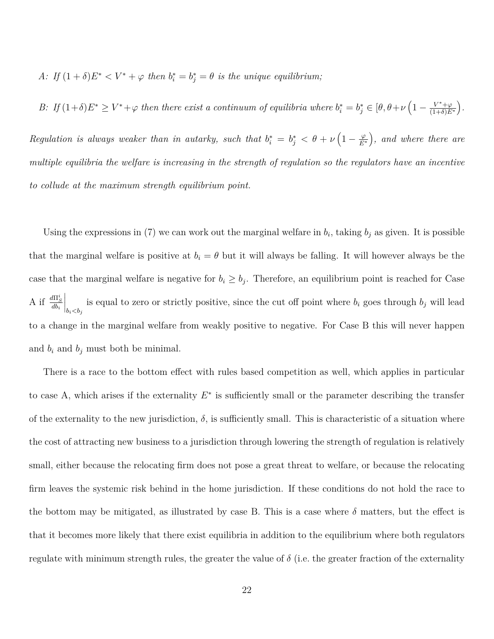*A: If*  $(1 + \delta)E^* < V^* + \varphi$  *then*  $b_i^* = b_j^* = \theta$  *is the unique equilibrium;* 

*B*: *If*  $(1+\delta)E^* \geq V^* + \varphi$  *then there exist a continuum of equilibria where*  $b_i^* = b_j^* \in [\theta, \theta + \nu \left(1 - \frac{V^* + \varphi}{(1+\delta)E}\right)]$  $\overline{(1+\delta)E^*}$  *. Regulation is always weaker than in autarky, such that*  $b_i^* = b_j^* < \theta + \nu \left(1 - \frac{\varphi}{E^*}\right)$ *E*<sup>∗</sup> *, and where there are multiple equilibria the welfare is increasing in the strength of regulation so the regulators have an incentive to collude at the maximum strength equilibrium point.*

Using the expressions in (7) we can work out the marginal welfare in  $b_i$ , taking  $b_j$  as given. It is possible that the marginal welfare is positive at  $b_i = \theta$  but it will always be falling. It will however always be the case that the marginal welfare is negative for  $b_i \geq b_j$ . Therefore, an equilibrium point is reached for Case A if  $\frac{d\Pi_S^i}{db_i}$  $\Big|_{b_i < b_j}$ is equal to zero or strictly positive, since the cut off point where  $b_i$  goes through  $b_j$  will lead to a change in the marginal welfare from weakly positive to negative. For Case B this will never happen and  $b_i$  and  $b_j$  must both be minimal.

There is a race to the bottom effect with rules based competition as well, which applies in particular to case A, which arises if the externality  $E^*$  is sufficiently small or the parameter describing the transfer of the externality to the new jurisdiction,  $\delta$ , is sufficiently small. This is characteristic of a situation where the cost of attracting new business to a jurisdiction through lowering the strength of regulation is relatively small, either because the relocating firm does not pose a great threat to welfare, or because the relocating firm leaves the systemic risk behind in the home jurisdiction. If these conditions do not hold the race to the bottom may be mitigated, as illustrated by case B. This is a case where  $\delta$  matters, but the effect is that it becomes more likely that there exist equilibria in addition to the equilibrium where both regulators regulate with minimum strength rules, the greater the value of  $\delta$  (i.e. the greater fraction of the externality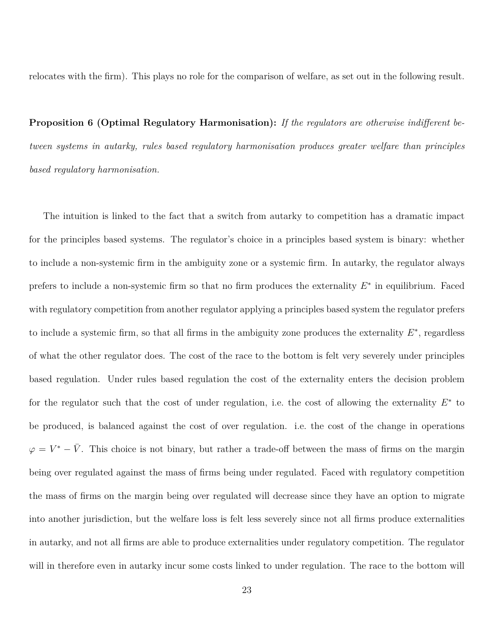relocates with the firm). This plays no role for the comparison of welfare, as set out in the following result.

**Proposition 6 (Optimal Regulatory Harmonisation):** *If the regulators are otherwise indifferent between systems in autarky, rules based regulatory harmonisation produces greater welfare than principles based regulatory harmonisation.*

The intuition is linked to the fact that a switch from autarky to competition has a dramatic impact for the principles based systems. The regulator's choice in a principles based system is binary: whether to include a non-systemic firm in the ambiguity zone or a systemic firm. In autarky, the regulator always prefers to include a non-systemic firm so that no firm produces the externality  $E^*$  in equilibrium. Faced with regulatory competition from another regulator applying a principles based system the regulator prefers to include a systemic firm, so that all firms in the ambiguity zone produces the externality  $E^*$ , regardless of what the other regulator does. The cost of the race to the bottom is felt very severely under principles based regulation. Under rules based regulation the cost of the externality enters the decision problem for the regulator such that the cost of under regulation, i.e. the cost of allowing the externality  $E^*$  to be produced, is balanced against the cost of over regulation. i.e. the cost of the change in operations  $\varphi = V^* - \bar{V}$ . This choice is not binary, but rather a trade-off between the mass of firms on the margin being over regulated against the mass of firms being under regulated. Faced with regulatory competition the mass of firms on the margin being over regulated will decrease since they have an option to migrate into another jurisdiction, but the welfare loss is felt less severely since not all firms produce externalities in autarky, and not all firms are able to produce externalities under regulatory competition. The regulator will in therefore even in autarky incur some costs linked to under regulation. The race to the bottom will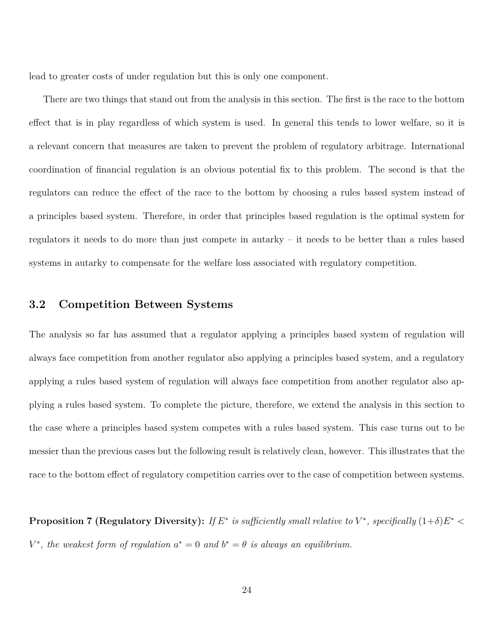lead to greater costs of under regulation but this is only one component.

There are two things that stand out from the analysis in this section. The first is the race to the bottom effect that is in play regardless of which system is used. In general this tends to lower welfare, so it is a relevant concern that measures are taken to prevent the problem of regulatory arbitrage. International coordination of financial regulation is an obvious potential fix to this problem. The second is that the regulators can reduce the effect of the race to the bottom by choosing a rules based system instead of a principles based system. Therefore, in order that principles based regulation is the optimal system for regulators it needs to do more than just compete in autarky – it needs to be better than a rules based systems in autarky to compensate for the welfare loss associated with regulatory competition.

#### **3.2 Competition Between Systems**

The analysis so far has assumed that a regulator applying a principles based system of regulation will always face competition from another regulator also applying a principles based system, and a regulatory applying a rules based system of regulation will always face competition from another regulator also applying a rules based system. To complete the picture, therefore, we extend the analysis in this section to the case where a principles based system competes with a rules based system. This case turns out to be messier than the previous cases but the following result is relatively clean, however. This illustrates that the race to the bottom effect of regulatory competition carries over to the case of competition between systems.

**Proposition 7 (Regulatory Diversity):** If  $E^*$  is sufficiently small relative to  $V^*$ , specifically  $(1+\delta)E^*$  $V^*$ , the weakest form of regulation  $a^* = 0$  and  $b^* = \theta$  is always an equilibrium.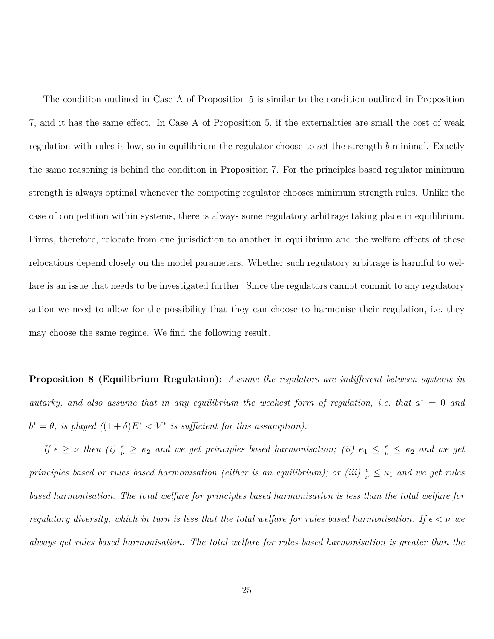The condition outlined in Case A of Proposition 5 is similar to the condition outlined in Proposition 7, and it has the same effect. In Case A of Proposition 5, if the externalities are small the cost of weak regulation with rules is low, so in equilibrium the regulator choose to set the strength *b* minimal. Exactly the same reasoning is behind the condition in Proposition 7. For the principles based regulator minimum strength is always optimal whenever the competing regulator chooses minimum strength rules. Unlike the case of competition within systems, there is always some regulatory arbitrage taking place in equilibrium. Firms, therefore, relocate from one jurisdiction to another in equilibrium and the welfare effects of these relocations depend closely on the model parameters. Whether such regulatory arbitrage is harmful to welfare is an issue that needs to be investigated further. Since the regulators cannot commit to any regulatory action we need to allow for the possibility that they can choose to harmonise their regulation, i.e. they may choose the same regime. We find the following result.

**Proposition 8 (Equilibrium Regulation):** *Assume the regulators are indifferent between systems in autarky, and also assume that in any equilibrium the weakest form of regulation, i.e. that*  $a^* = 0$  *and*  $b^* = \theta$ , *is played*  $((1 + \delta)E^* < V^*$  *is sufficient for this assumption*).

*If*  $\epsilon \geq \nu$  *then* (*i*)  $\frac{\epsilon}{\nu} \geq \kappa_2$  *and we get principles based harmonisation;* (*ii*)  $\kappa_1 \leq \frac{\epsilon}{\nu} \leq \kappa_2$  *and we get principles based or rules based harmonisation (either is an equilibrium); or (iii)*  $\frac{\epsilon}{\nu} \leq \kappa_1$  *and we get rules based harmonisation. The total welfare for principles based harmonisation is less than the total welfare for regulatory diversity, which in turn is less that the total welfare for rules based harmonisation. If*  $\epsilon < \nu$  we *always get rules based harmonisation. The total welfare for rules based harmonisation is greater than the*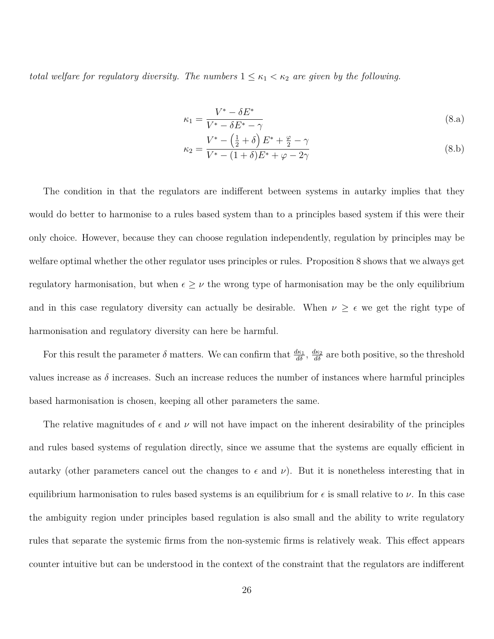*total welfare for regulatory diversity. The numbers*  $1 \leq \kappa_1 < \kappa_2$  *are given by the following.* 

$$
\kappa_1 = \frac{V^* - \delta E^*}{V^* - \delta E^* - \gamma} \tag{8.a}
$$

$$
\kappa_2 = \frac{V^* - (\frac{1}{2} + \delta) E^* + \frac{\varphi}{2} - \gamma}{V^* - (1 + \delta) E^* + \varphi - 2\gamma}
$$
\n(8.b)

The condition in that the regulators are indifferent between systems in autarky implies that they would do better to harmonise to a rules based system than to a principles based system if this were their only choice. However, because they can choose regulation independently, regulation by principles may be welfare optimal whether the other regulator uses principles or rules. Proposition 8 shows that we always get regulatory harmonisation, but when  $\epsilon \geq \nu$  the wrong type of harmonisation may be the only equilibrium and in this case regulatory diversity can actually be desirable. When  $\nu \geq \epsilon$  we get the right type of harmonisation and regulatory diversity can here be harmful.

For this result the parameter  $\delta$  matters. We can confirm that  $\frac{d\kappa_1}{d\delta}$ ,  $\frac{d\kappa_2}{d\delta}$  are both positive, so the threshold values increase as  $\delta$  increases. Such an increase reduces the number of instances where harmful principles based harmonisation is chosen, keeping all other parameters the same.

The relative magnitudes of  $\epsilon$  and  $\nu$  will not have impact on the inherent desirability of the principles and rules based systems of regulation directly, since we assume that the systems are equally efficient in autarky (other parameters cancel out the changes to  $\epsilon$  and  $\nu$ ). But it is nonetheless interesting that in equilibrium harmonisation to rules based systems is an equilibrium for  $\epsilon$  is small relative to  $\nu$ . In this case the ambiguity region under principles based regulation is also small and the ability to write regulatory rules that separate the systemic firms from the non-systemic firms is relatively weak. This effect appears counter intuitive but can be understood in the context of the constraint that the regulators are indifferent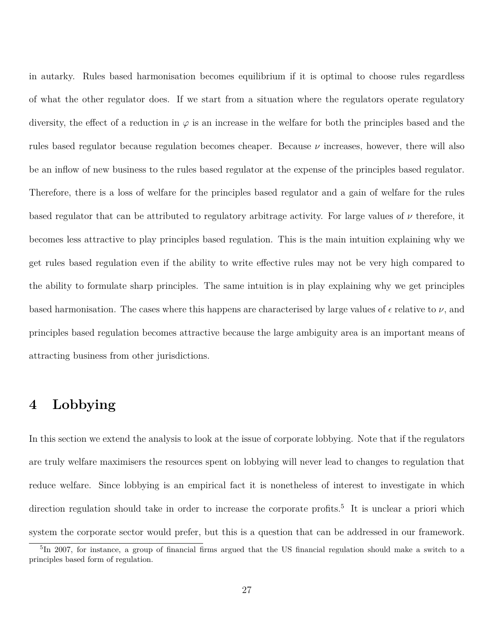in autarky. Rules based harmonisation becomes equilibrium if it is optimal to choose rules regardless of what the other regulator does. If we start from a situation where the regulators operate regulatory diversity, the effect of a reduction in *ϕ* is an increase in the welfare for both the principles based and the rules based regulator because regulation becomes cheaper. Because *ν* increases, however, there will also be an inflow of new business to the rules based regulator at the expense of the principles based regulator. Therefore, there is a loss of welfare for the principles based regulator and a gain of welfare for the rules based regulator that can be attributed to regulatory arbitrage activity. For large values of *ν* therefore, it becomes less attractive to play principles based regulation. This is the main intuition explaining why we get rules based regulation even if the ability to write effective rules may not be very high compared to the ability to formulate sharp principles. The same intuition is in play explaining why we get principles based harmonisation. The cases where this happens are characterised by large values of  $\epsilon$  relative to  $\nu$ , and principles based regulation becomes attractive because the large ambiguity area is an important means of attracting business from other jurisdictions.

## **4 Lobbying**

In this section we extend the analysis to look at the issue of corporate lobbying. Note that if the regulators are truly welfare maximisers the resources spent on lobbying will never lead to changes to regulation that reduce welfare. Since lobbying is an empirical fact it is nonetheless of interest to investigate in which direction regulation should take in order to increase the corporate profits.<sup>5</sup> It is unclear a priori which system the corporate sector would prefer, but this is a question that can be addressed in our framework.

<sup>&</sup>lt;sup>5</sup>In 2007, for instance, a group of financial firms argued that the US financial regulation should make a switch to a principles based form of regulation.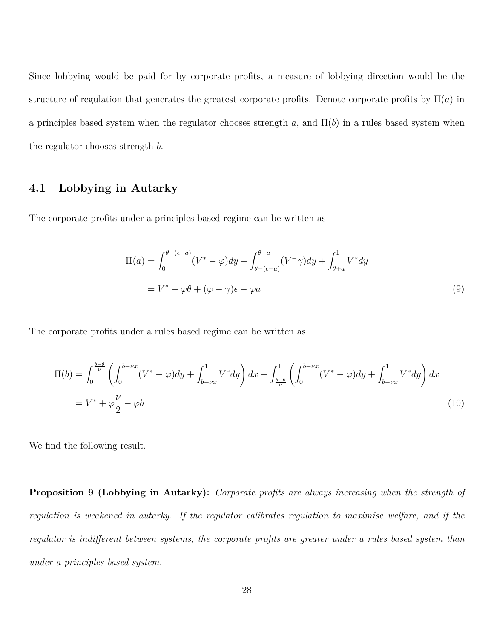Since lobbying would be paid for by corporate profits, a measure of lobbying direction would be the structure of regulation that generates the greatest corporate profits. Denote corporate profits by  $\Pi(a)$  in a principles based system when the regulator chooses strength  $a$ , and  $\Pi(b)$  in a rules based system when the regulator chooses strength *b*.

### **4.1 Lobbying in Autarky**

The corporate profits under a principles based regime can be written as

$$
\Pi(a) = \int_0^{\theta - (\epsilon - a)} (V^* - \varphi) dy + \int_{\theta - (\epsilon - a)}^{\theta + a} (V^- \gamma) dy + \int_{\theta + a}^1 V^* dy
$$

$$
= V^* - \varphi \theta + (\varphi - \gamma)\epsilon - \varphi a \tag{9}
$$

The corporate profits under a rules based regime can be written as

$$
\Pi(b) = \int_0^{\frac{b-\theta}{\nu}} \left( \int_0^{b-\nu x} (V^* - \varphi) dy + \int_{b-\nu x}^1 V^* dy \right) dx + \int_{\frac{b-\theta}{\nu}}^1 \left( \int_0^{b-\nu x} (V^* - \varphi) dy + \int_{b-\nu x}^1 V^* dy \right) dx
$$
  
=  $V^* + \varphi \frac{\nu}{2} - \varphi b$  (10)

We find the following result.

**Proposition 9 (Lobbying in Autarky):** *Corporate profits are always increasing when the strength of regulation is weakened in autarky. If the regulator calibrates regulation to maximise welfare, and if the regulator is indifferent between systems, the corporate profits are greater under a rules based system than under a principles based system.*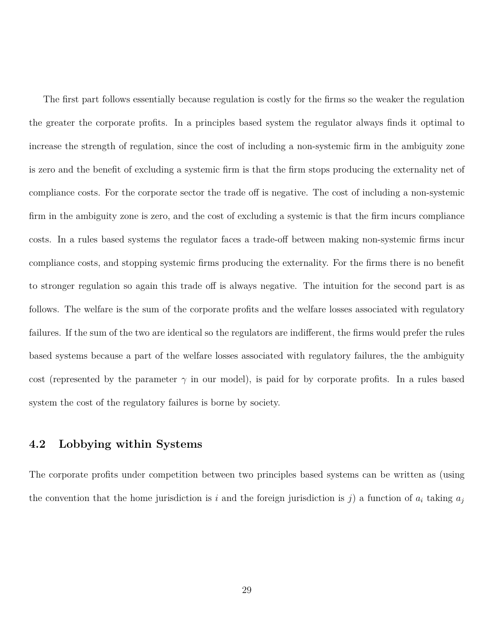The first part follows essentially because regulation is costly for the firms so the weaker the regulation the greater the corporate profits. In a principles based system the regulator always finds it optimal to increase the strength of regulation, since the cost of including a non-systemic firm in the ambiguity zone is zero and the benefit of excluding a systemic firm is that the firm stops producing the externality net of compliance costs. For the corporate sector the trade off is negative. The cost of including a non-systemic firm in the ambiguity zone is zero, and the cost of excluding a systemic is that the firm incurs compliance costs. In a rules based systems the regulator faces a trade-off between making non-systemic firms incur compliance costs, and stopping systemic firms producing the externality. For the firms there is no benefit to stronger regulation so again this trade off is always negative. The intuition for the second part is as follows. The welfare is the sum of the corporate profits and the welfare losses associated with regulatory failures. If the sum of the two are identical so the regulators are indifferent, the firms would prefer the rules based systems because a part of the welfare losses associated with regulatory failures, the the ambiguity cost (represented by the parameter  $\gamma$  in our model), is paid for by corporate profits. In a rules based system the cost of the regulatory failures is borne by society.

### **4.2 Lobbying within Systems**

The corporate profits under competition between two principles based systems can be written as (using the convention that the home jurisdiction is *i* and the foreign jurisdiction is *j*) a function of  $a_i$  taking  $a_j$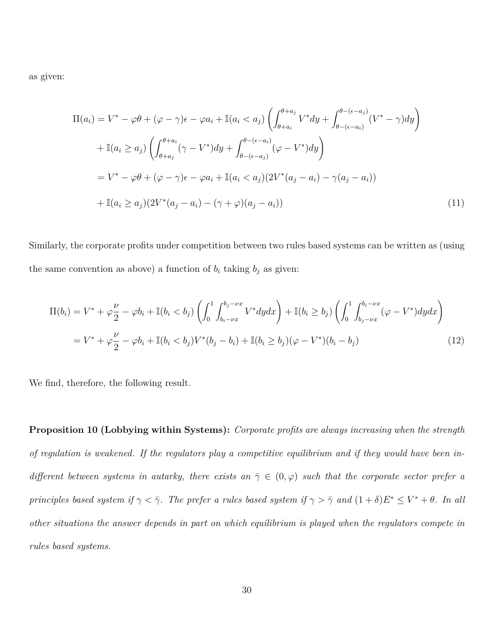as given:

$$
\Pi(a_i) = V^* - \varphi \theta + (\varphi - \gamma)\epsilon - \varphi a_i + \mathbb{I}(a_i < a_j) \left( \int_{\theta + a_i}^{\theta + a_j} V^* dy + \int_{\theta - (\epsilon - a_i)}^{\theta - (\epsilon - a_j)} (V^* - \gamma) dy \right)
$$
\n
$$
+ \mathbb{I}(a_i \ge a_j) \left( \int_{\theta + a_j}^{\theta + a_i} (\gamma - V^*) dy + \int_{\theta - (\epsilon - a_j)}^{\theta - (\epsilon - a_i)} (\varphi - V^*) dy \right)
$$
\n
$$
= V^* - \varphi \theta + (\varphi - \gamma)\epsilon - \varphi a_i + \mathbb{I}(a_i < a_j) (2V^*(a_j - a_i) - \gamma(a_j - a_i))
$$
\n
$$
+ \mathbb{I}(a_i \ge a_j) (2V^*(a_j - a_i) - (\gamma + \varphi)(a_j - a_i)) \tag{11}
$$

Similarly, the corporate profits under competition between two rules based systems can be written as (using the same convention as above) a function of  $b_i$  taking  $b_j$  as given:

$$
\Pi(b_i) = V^* + \varphi \frac{\nu}{2} - \varphi b_i + \mathbb{I}(b_i < b_j) \left( \int_0^1 \int_{b_i - \nu x}^{b_j - \nu x} V^* dy dx \right) + \mathbb{I}(b_i \ge b_j) \left( \int_0^1 \int_{b_j - \nu x}^{b_i - \nu x} (\varphi - V^*) dy dx \right)
$$
\n
$$
= V^* + \varphi \frac{\nu}{2} - \varphi b_i + \mathbb{I}(b_i < b_j) V^*(b_j - b_i) + \mathbb{I}(b_i \ge b_j) (\varphi - V^*)(b_i - b_j) \tag{12}
$$

We find, therefore, the following result.

**Proposition 10 (Lobbying within Systems):** *Corporate profits are always increasing when the strength of regulation is weakened. If the regulators play a competitive equilibrium and if they would have been indifferent between systems in autarky, there exists an*  $\overline{\gamma} \in (0, \varphi)$  *such that the corporate sector prefer a principles based system if*  $\gamma < \bar{\gamma}$ . The prefer a rules based system if  $\gamma > \bar{\gamma}$  and  $(1 + \delta)E^* \leq V^* + \theta$ . In all *other situations the answer depends in part on which equilibrium is played when the regulators compete in rules based systems.*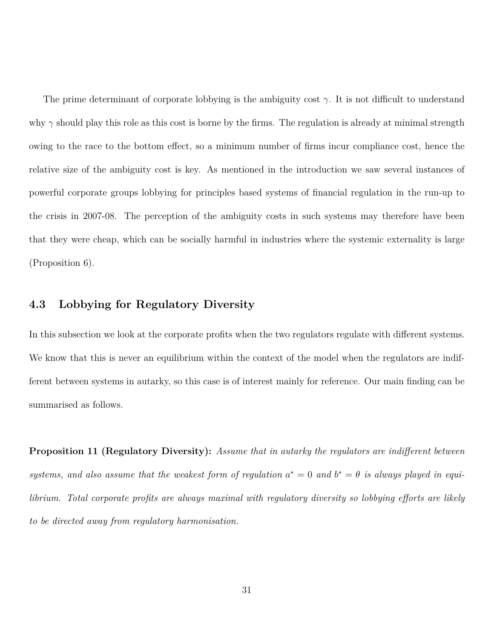The prime determinant of corporate lobbying is the ambiguity cost *γ*. It is not difficult to understand why *γ* should play this role as this cost is borne by the firms. The regulation is already at minimal strength owing to the race to the bottom effect, so a minimum number of firms incur compliance cost, hence the relative size of the ambiguity cost is key. As mentioned in the introduction we saw several instances of powerful corporate groups lobbying for principles based systems of financial regulation in the run-up to the crisis in 2007-08. The perception of the ambiguity costs in such systems may therefore have been that they were cheap, which can be socially harmful in industries where the systemic externality is large (Proposition 6).

#### **4.3 Lobbying for Regulatory Diversity**

In this subsection we look at the corporate profits when the two regulators regulate with different systems. We know that this is never an equilibrium within the context of the model when the regulators are indifferent between systems in autarky, so this case is of interest mainly for reference. Our main finding can be summarised as follows.

**Proposition 11 (Regulatory Diversity):** *Assume that in autarky the regulators are indifferent between* systems, and also assume that the weakest form of regulation  $a^* = 0$  and  $b^* = \theta$  is always played in equi*librium. Total corporate profits are always maximal with regulatory diversity so lobbying efforts are likely to be directed away from regulatory harmonisation.*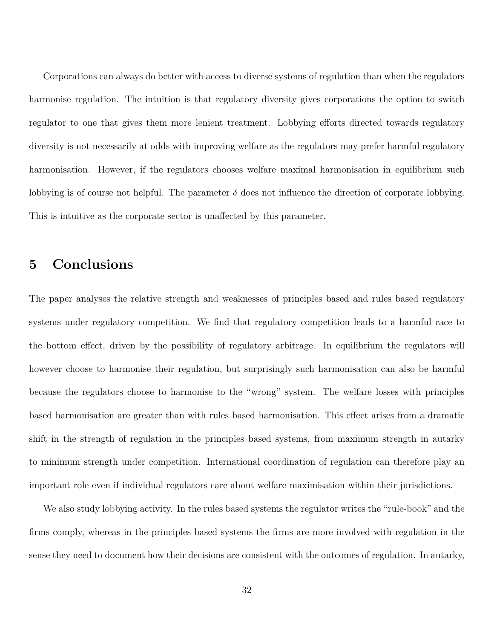Corporations can always do better with access to diverse systems of regulation than when the regulators harmonise regulation. The intuition is that regulatory diversity gives corporations the option to switch regulator to one that gives them more lenient treatment. Lobbying efforts directed towards regulatory diversity is not necessarily at odds with improving welfare as the regulators may prefer harmful regulatory harmonisation. However, if the regulators chooses welfare maximal harmonisation in equilibrium such lobbying is of course not helpful. The parameter  $\delta$  does not influence the direction of corporate lobbying. This is intuitive as the corporate sector is unaffected by this parameter.

## **5 Conclusions**

The paper analyses the relative strength and weaknesses of principles based and rules based regulatory systems under regulatory competition. We find that regulatory competition leads to a harmful race to the bottom effect, driven by the possibility of regulatory arbitrage. In equilibrium the regulators will however choose to harmonise their regulation, but surprisingly such harmonisation can also be harmful because the regulators choose to harmonise to the "wrong" system. The welfare losses with principles based harmonisation are greater than with rules based harmonisation. This effect arises from a dramatic shift in the strength of regulation in the principles based systems, from maximum strength in autarky to minimum strength under competition. International coordination of regulation can therefore play an important role even if individual regulators care about welfare maximisation within their jurisdictions.

We also study lobbying activity. In the rules based systems the regulator writes the "rule-book" and the firms comply, whereas in the principles based systems the firms are more involved with regulation in the sense they need to document how their decisions are consistent with the outcomes of regulation. In autarky,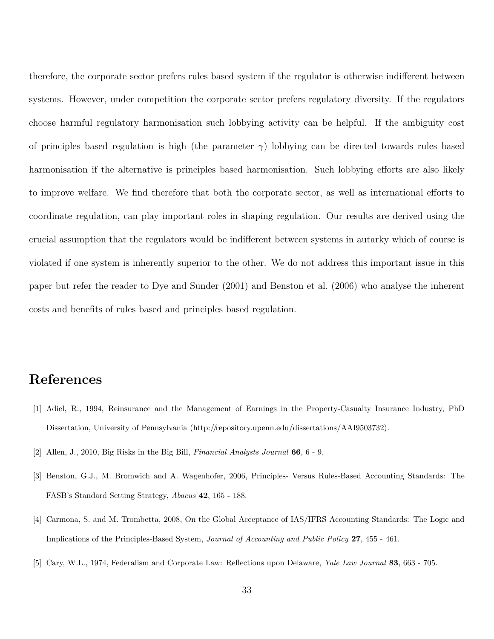therefore, the corporate sector prefers rules based system if the regulator is otherwise indifferent between systems. However, under competition the corporate sector prefers regulatory diversity. If the regulators choose harmful regulatory harmonisation such lobbying activity can be helpful. If the ambiguity cost of principles based regulation is high (the parameter *γ*) lobbying can be directed towards rules based harmonisation if the alternative is principles based harmonisation. Such lobbying efforts are also likely to improve welfare. We find therefore that both the corporate sector, as well as international efforts to coordinate regulation, can play important roles in shaping regulation. Our results are derived using the crucial assumption that the regulators would be indifferent between systems in autarky which of course is violated if one system is inherently superior to the other. We do not address this important issue in this paper but refer the reader to Dye and Sunder (2001) and Benston et al. (2006) who analyse the inherent costs and benefits of rules based and principles based regulation.

## **References**

- [1] Adiel, R., 1994, Reinsurance and the Management of Earnings in the Property-Casualty Insurance Industry, PhD Dissertation, University of Pennsylvania (http://repository.upenn.edu/dissertations/AAI9503732).
- [2] Allen, J., 2010, Big Risks in the Big Bill, *Financial Analysts Journal* **66**, 6 9.
- [3] Benston, G.J., M. Bromwich and A. Wagenhofer, 2006, Principles- Versus Rules-Based Accounting Standards: The FASB's Standard Setting Strategy, *Abacus* **42**, 165 - 188.
- [4] Carmona, S. and M. Trombetta, 2008, On the Global Acceptance of IAS/IFRS Accounting Standards: The Logic and Implications of the Principles-Based System, *Journal of Accounting and Public Policy* **27**, 455 - 461.
- [5] Cary, W.L., 1974, Federalism and Corporate Law: Reflections upon Delaware, *Yale Law Journal* **83**, 663 705.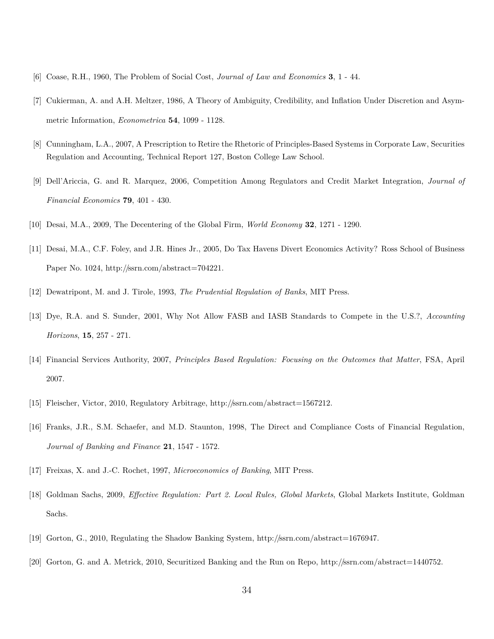- [6] Coase, R.H., 1960, The Problem of Social Cost, *Journal of Law and Economics* **3**, 1 44.
- [7] Cukierman, A. and A.H. Meltzer, 1986, A Theory of Ambiguity, Credibility, and Inflation Under Discretion and Asymmetric Information, *Econometrica* **54**, 1099 - 1128.
- [8] Cunningham, L.A., 2007, A Prescription to Retire the Rhetoric of Principles-Based Systems in Corporate Law, Securities Regulation and Accounting, Technical Report 127, Boston College Law School.
- [9] Dell'Ariccia, G. and R. Marquez, 2006, Competition Among Regulators and Credit Market Integration, *Journal of Financial Economics* **79**, 401 - 430.
- [10] Desai, M.A., 2009, The Decentering of the Global Firm, *World Economy* **32**, 1271 1290.
- [11] Desai, M.A., C.F. Foley, and J.R. Hines Jr., 2005, Do Tax Havens Divert Economics Activity? Ross School of Business Paper No. 1024, http://ssrn.com/abstract=704221.
- [12] Dewatripont, M. and J. Tirole, 1993, *The Prudential Regulation of Banks*, MIT Press.
- [13] Dye, R.A. and S. Sunder, 2001, Why Not Allow FASB and IASB Standards to Compete in the U.S.?, *Accounting Horizons*, **15**, 257 - 271.
- [14] Financial Services Authority, 2007, *Principles Based Regulation: Focusing on the Outcomes that Matter*, FSA, April 2007.
- [15] Fleischer, Victor, 2010, Regulatory Arbitrage, http://ssrn.com/abstract=1567212.
- [16] Franks, J.R., S.M. Schaefer, and M.D. Staunton, 1998, The Direct and Compliance Costs of Financial Regulation, *Journal of Banking and Finance* **21**, 1547 - 1572.
- [17] Freixas, X. and J.-C. Rochet, 1997, *Microeconomics of Banking*, MIT Press.
- [18] Goldman Sachs, 2009, *Effective Regulation: Part 2. Local Rules, Global Markets*, Global Markets Institute, Goldman Sachs.
- [19] Gorton, G., 2010, Regulating the Shadow Banking System, http://ssrn.com/abstract=1676947.
- [20] Gorton, G. and A. Metrick, 2010, Securitized Banking and the Run on Repo, http://ssrn.com/abstract=1440752.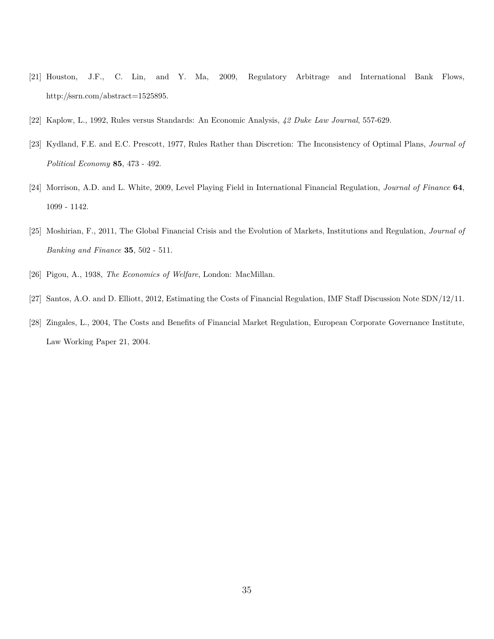- [21] Houston, J.F., C. Lin, and Y. Ma, 2009, Regulatory Arbitrage and International Bank Flows, http://ssrn.com/abstract=1525895.
- [22] Kaplow, L., 1992, Rules versus Standards: An Economic Analysis, *42 Duke Law Journal*, 557-629.
- [23] Kydland, F.E. and E.C. Prescott, 1977, Rules Rather than Discretion: The Inconsistency of Optimal Plans, *Journal of Political Economy* **85**, 473 - 492.
- [24] Morrison, A.D. and L. White, 2009, Level Playing Field in International Financial Regulation, *Journal of Finance* **64**, 1099 - 1142.
- [25] Moshirian, F., 2011, The Global Financial Crisis and the Evolution of Markets, Institutions and Regulation, *Journal of Banking and Finance* **35**, 502 - 511.
- [26] Pigou, A., 1938, *The Economics of Welfare*, London: MacMillan.
- [27] Santos, A.O. and D. Elliott, 2012, Estimating the Costs of Financial Regulation, IMF Staff Discussion Note SDN/12/11.
- [28] Zingales, L., 2004, The Costs and Benefits of Financial Market Regulation, European Corporate Governance Institute, Law Working Paper 21, 2004.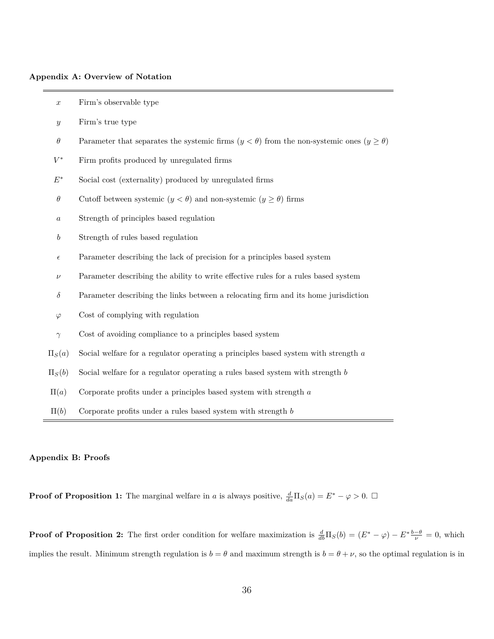#### **Appendix A: Overview of Notation**

| $\boldsymbol{x}$ | Firm's observable type                                                                                 |
|------------------|--------------------------------------------------------------------------------------------------------|
| $\boldsymbol{y}$ | Firm's true type                                                                                       |
| $\theta$         | Parameter that separates the systemic firms $(y < \theta)$ from the non-systemic ones $(y \ge \theta)$ |
| $V^*$            | Firm profits produced by unregulated firms                                                             |
| $E^\ast$         | Social cost (externality) produced by unregulated firms                                                |
| $\theta$         | Cutoff between systemic $(y < \theta)$ and non-systemic $(y \ge \theta)$ firms                         |
| $\boldsymbol{a}$ | Strength of principles based regulation                                                                |
| $\boldsymbol{b}$ | Strength of rules based regulation                                                                     |
| $\epsilon$       | Parameter describing the lack of precision for a principles based system                               |
| $\nu$            | Parameter describing the ability to write effective rules for a rules based system                     |
| $\delta$         | Parameter describing the links between a relocating firm and its home jurisdiction                     |
| $\varphi$        | Cost of complying with regulation                                                                      |
| $\gamma$         | Cost of avoiding compliance to a principles based system                                               |
| $\Pi_S(a)$       | Social welfare for a regulator operating a principles based system with strength a                     |
| $\Pi_S(b)$       | Social welfare for a regulator operating a rules based system with strength $b$                        |
| $\Pi(a)$         | Corporate profits under a principles based system with strength $a$                                    |
| $\Pi(b)$         | Corporate profits under a rules based system with strength $b$                                         |

#### **Appendix B: Proofs**

**Proof of Proposition 1:** The marginal welfare in *a* is always positive,  $\frac{d}{da}\Pi_S(a) = E^* - \varphi > 0$ .  $\Box$ 

**Proof of Proposition 2:** The first order condition for welfare maximization is  $\frac{d}{db} \Pi_S(b) = (E^* - \varphi) - E^* \frac{b-\theta}{\nu} = 0$ , which implies the result. Minimum strength regulation is  $b = \theta$  and maximum strength is  $b = \theta + \nu$ , so the optimal regulation is in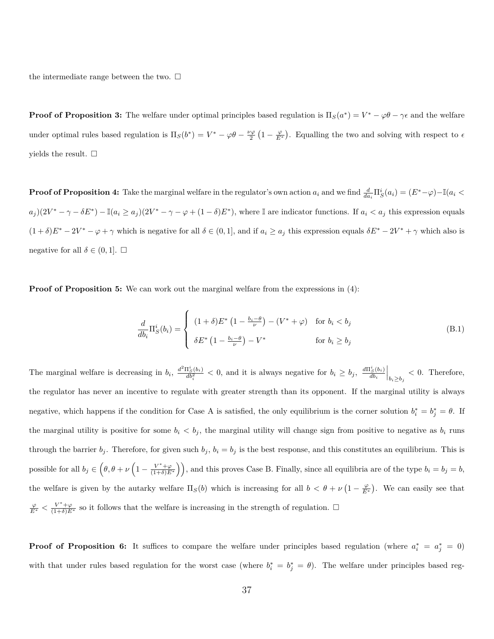the intermediate range between the two.  $\square$ 

**Proof of Proposition 3:** The welfare under optimal principles based regulation is  $\Pi_S(a^*) = V^* - \varphi \theta - \gamma \epsilon$  and the welfare under optimal rules based regulation is  $\Pi_S(b^*) = V^* - \varphi\theta - \frac{\nu\varphi}{2}(1 - \frac{\varphi}{E^*})$ . Equalling the two and solving with respect to  $\epsilon$ yields the result.  $\square$ 

**Proof of Proposition 4:** Take the marginal welfare in the regulator's own action  $a_i$  and we find  $\frac{d}{da_i}\Pi_S^i(a_i)=(E^*-\varphi)-\mathbb{I}(a_i<\varphi)$  $a_j(2V^* - \gamma - \delta E^*) - \mathbb{I}(a_i \geq a_j)(2V^* - \gamma - \varphi + (1 - \delta)E^*)$ , where I are indicator functions. If  $a_i < a_j$  this expression equals  $(1+\delta)E^* - 2V^* - \varphi + \gamma$  which is negative for all  $\delta \in (0,1]$ , and if  $a_i \ge a_j$  this expression equals  $\delta E^* - 2V^* + \gamma$  which also is negative for all  $\delta \in (0, 1]$ .  $\Box$ 

**Proof of Proposition 5:** We can work out the marginal welfare from the expressions in (4):

$$
\frac{d}{db_i} \Pi_S^i(b_i) = \begin{cases}\n(1+\delta)E^* \left(1 - \frac{b_i - \theta}{\nu}\right) - (V^* + \varphi) & \text{for } b_i < b_j \\
\delta E^* \left(1 - \frac{b_i - \theta}{\nu}\right) - V^* & \text{for } b_i \ge b_j\n\end{cases}
$$
\n(B.1)

The marginal welfare is decreasing in  $b_i$ ,  $\frac{d^2 \Pi_S^i(b_i)}{db_i^2} < 0$ , and it is always negative for  $b_i \ge b_j$ ,  $\frac{d \Pi_S^i(b_i)}{db_i} \Big|_{b_i \ge b_j} < 0$ . Therefore, the regulator has never an incentive to regulate with greater strength than its opponent. If the marginal utility is always negative, which happens if the condition for Case A is satisfied, the only equilibrium is the corner solution  $b_i^* = b_j^* = \theta$ . If the marginal utility is positive for some  $b_i < b_j$ , the marginal utility will change sign from positive to negative as  $b_i$  runs through the barrier  $b_j$ . Therefore, for given such  $b_j$ ,  $b_i = b_j$  is the best response, and this constitutes an equilibrium. This is possible for all  $b_j \in (\theta, \theta + \nu \left(1 - \frac{V^* + \varphi}{(1 + \delta)E^*}\right))$ , and this proves Case B. Finally, since all equilibria are of the type  $b_i = b_j = b$ , the welfare is given by the autarky welfare  $\Pi_S(b)$  which is increasing for all  $b < \theta + \nu \left(1 - \frac{\varphi}{E^*}\right)$ . We can easily see that  $\frac{\varphi}{E^*}$  <  $\frac{V^*+\varphi}{(1+\delta)E^*}$  so it follows that the welfare is increasing in the strength of regulation.  $\Box$ 

**Proof of Proposition 6:** It suffices to compare the welfare under principles based regulation (where  $a_i^* = a_j^* = 0$ ) with that under rules based regulation for the worst case (where  $b_i^* = b_j^* = \theta$ ). The welfare under principles based reg-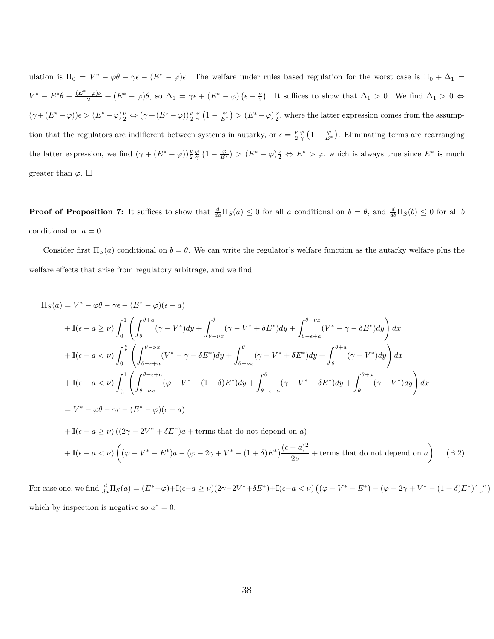ulation is  $\Pi_0 = V^* - \varphi \theta - \gamma \epsilon - (E^* - \varphi)\epsilon$ . The welfare under rules based regulation for the worst case is  $\Pi_0 + \Delta_1 =$  $V^* - E^*\theta - \frac{(E^* - \varphi)\nu}{2} + (E^* - \varphi)\theta$ , so  $\Delta_1 = \gamma \epsilon + (E^* - \varphi)(\epsilon - \frac{\nu}{2})$ . It suffices to show that  $\Delta_1 > 0$ . We find  $\Delta_1 > 0 \Leftrightarrow$  $(\gamma + (E^* - \varphi))\epsilon > (E^* - \varphi)\frac{\nu}{2} \Leftrightarrow (\gamma + (E^* - \varphi))\frac{\nu}{2}\frac{\varphi}{\gamma}\left(1 - \frac{\varphi}{E^*}\right) > (E^* - \varphi)\frac{\nu}{2}$ , where the latter expression comes from the assumption that the regulators are indifferent between systems in autarky, or  $\epsilon = \frac{\nu}{2} \frac{\varphi}{\gamma} \left(1 - \frac{\varphi}{E^*}\right)$ . Eliminating terms are rearranging the latter expression, we find  $(\gamma + (E^* - \varphi))\frac{\nu \varphi}{2 \gamma} (1 - \frac{\varphi}{E^*}) > (E^* - \varphi)\frac{\nu}{2} \Leftrightarrow E^* > \varphi$ , which is always true since  $E^*$  is much greater than  $\varphi$ .  $\Box$ 

**Proof of Proposition 7:** It suffices to show that  $\frac{d}{da}\Pi_S(a) \leq 0$  for all *a* conditional on  $b = \theta$ , and  $\frac{d}{db}\Pi_S(b) \leq 0$  for all *b* conditional on  $a = 0$ .

Consider first  $\Pi_S(a)$  conditional on  $b = \theta$ . We can write the regulator's welfare function as the autarky welfare plus the welfare effects that arise from regulatory arbitrage, and we find

$$
\Pi_{S}(a) = V^{*} - \varphi \theta - \gamma \epsilon - (E^{*} - \varphi)(\epsilon - a)
$$
\n
$$
+ \mathbb{I}(\epsilon - a \geq \nu) \int_{0}^{1} \left( \int_{\theta}^{\theta + a} (\gamma - V^{*}) dy + \int_{\theta - \nu x}^{\theta} (\gamma - V^{*} + \delta E^{*}) dy + \int_{\theta - \epsilon + a}^{\theta - \nu x} (V^{*} - \gamma - \delta E^{*}) dy \right) dx
$$
\n
$$
+ \mathbb{I}(\epsilon - a < \nu) \int_{0}^{\epsilon} \left( \int_{\theta - \epsilon + a}^{\theta - \nu x} (V^{*} - \gamma - \delta E^{*}) dy + \int_{\theta - \nu x}^{\theta} (\gamma - V^{*} + \delta E^{*}) dy + \int_{\theta}^{\theta + a} (\gamma - V^{*}) dy \right) dx
$$
\n
$$
+ \mathbb{I}(\epsilon - a < \nu) \int_{\epsilon}^{1} \left( \int_{\theta - \nu x}^{\theta - \epsilon + a} (\varphi - V^{*} - (1 - \delta) E^{*}) dy + \int_{\theta - \epsilon + a}^{\theta} (\gamma - V^{*} + \delta E^{*}) dy + \int_{\theta}^{\theta + a} (\gamma - V^{*}) dy \right) dx
$$
\n
$$
= V^{*} - \varphi \theta - \gamma \epsilon - (E^{*} - \varphi)(\epsilon - a)
$$
\n
$$
+ \mathbb{I}(\epsilon - a \geq \nu) \left( (2\gamma - 2V^{*} + \delta E^{*}) a + \text{terms that do not depend on } a \right)
$$
\n
$$
+ \mathbb{I}(\epsilon - a < \nu) \left( (\varphi - V^{*} - E^{*}) a - (\varphi - 2\gamma + V^{*} - (1 + \delta) E^{*}) \frac{(\epsilon - a)^{2}}{2\nu} + \text{terms that do not depend on } a \right)
$$

For case one, we find  $\frac{d}{da}\Pi_S(a) = (E^*-\varphi)+\mathbb{I}(\epsilon-a\geq\nu)(2\gamma-2V^*+\delta E^*)+\mathbb{I}(\epsilon-a<\nu)\left((\varphi-V^*-E^*)-(\varphi-2\gamma+V^*-(1+\delta)E^*)\frac{\epsilon-a}{\nu}\right)$ which by inspection is negative so  $a^* = 0$ .

(B.2)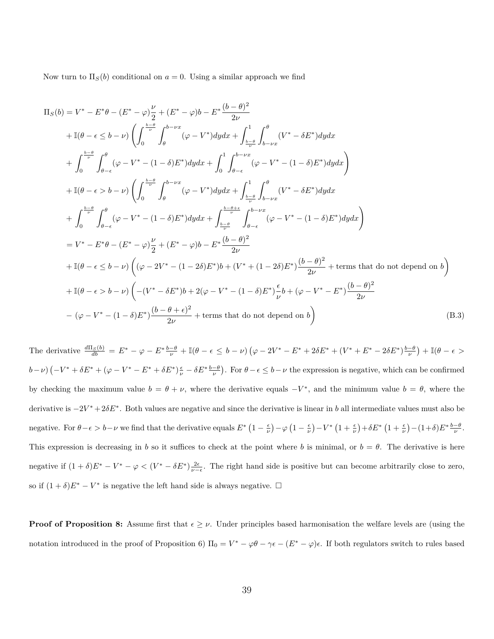Now turn to  $\Pi_S(b)$  conditional on  $a = 0$ . Using a similar approach we find

$$
\Pi_{S}(b) = V^{*} - E^{*}\theta - (E^{*} - \varphi)\frac{\nu}{2} + (E^{*} - \varphi)b - E^{*}\frac{(b-\theta)^{2}}{2\nu}
$$
\n
$$
+ \mathbb{I}(\theta - \epsilon \leq b - \nu) \left( \int_{0}^{\frac{b-\theta}{\nu}} \int_{\theta}^{b-\nu x} (\varphi - V^{*}) dy dx + \int_{\frac{b-\theta}{\nu}}^{1} \int_{\theta-\nu x}^{\theta} (V^{*} - \delta E^{*}) dy dx \right.
$$
\n
$$
+ \int_{0}^{\frac{b-\theta}{\nu}} \int_{\theta-\epsilon}^{\theta} (\varphi - V^{*} - (1-\delta)E^{*}) dy dx + \int_{0}^{1} \int_{\theta-\epsilon}^{b-\nu x} (\varphi - V^{*} - (1-\delta)E^{*}) dy dx \right)
$$
\n
$$
+ \mathbb{I}(\theta - \epsilon > b - \nu) \left( \int_{0}^{\frac{b-\theta}{\nu}} \int_{\theta}^{b-\nu x} (\varphi - V^{*}) dy dx + \int_{\frac{b-\theta}{\nu}}^{1} \int_{\theta-\nu x}^{\theta} (V^{*} - \delta E^{*}) dy dx \right.
$$
\n
$$
+ \int_{0}^{\frac{b-\theta}{\nu}} \int_{\theta-\epsilon}^{\theta} (\varphi - V^{*} - (1-\delta)E^{*}) dy dx + \int_{\frac{b-\theta}{\nu}}^{\frac{b-\theta+\epsilon}{\nu}} \int_{\theta-\epsilon}^{b-\nu x} (\varphi - V^{*} - (1-\delta)E^{*}) dy dx \right)
$$
\n
$$
= V^{*} - E^{*}\theta - (E^{*} - \varphi)\frac{\nu}{2} + (E^{*} - \varphi)b - E^{*}\frac{(b-\theta)^{2}}{2\nu}
$$
\n
$$
+ \mathbb{I}(\theta - \epsilon \leq b - \nu) \left( (\varphi - 2V^{*} - (1 - 2\delta)E^{*})b + (V^{*} + (1 - 2\delta)E^{*})\frac{(b-\theta)^{2}}{2\nu} + \text{terms that do not depend on } b \right)
$$
\n
$$
+ \mathbb{I}(\theta - \epsilon > b - \nu) \left( -(V^{*} - \delta E^{*})b + 2(\varphi - V^{*} - (1 - \delta)E^{*})
$$

The derivative  $\frac{d\Pi_S(b)}{db} = E^* - \varphi - E^* \frac{b-\theta}{\nu} + \mathbb{I}(\theta - \epsilon \leq b - \nu) (\varphi - 2V^* - E^* + 2\delta E^* + (V^* + E^* - 2\delta E^*) \frac{b-\theta}{\nu}) + \mathbb{I}(\theta - \epsilon > b - \nu)$  $(b-\nu)(-V^*+\delta E^*+(\varphi-V^*-E^*+\delta E^*)\frac{\epsilon}{\nu}-\delta E^*\frac{b-\theta}{\nu}).$  For  $\theta-\epsilon\leq b-\nu$  the expression is negative, which can be confirmed by checking the maximum value  $b = \theta + \nu$ , where the derivative equals  $-V^*$ , and the minimum value  $b = \theta$ , where the derivative is −2*V* <sup>∗</sup> + 2*δE*<sup>∗</sup> . Both values are negative and since the derivative is linear in *b* all intermediate values must also be negative. For  $\theta - \epsilon > b - \nu$  we find that the derivative equals  $E^* \left(1 - \frac{\epsilon}{\nu}\right) - \varphi \left(1 - \frac{\epsilon}{\nu}\right) - V^* \left(1 + \frac{\epsilon}{\nu}\right) + \delta E^* \left(1 + \frac{\epsilon}{\nu}\right) - (1 + \delta) E^* \frac{b - \theta}{\nu}$ . This expression is decreasing in *b* so it suffices to check at the point where *b* is minimal, or  $b = \theta$ . The derivative is here negative if  $(1 + \delta)E^* - V^* - \varphi < (V^* - \delta E^*)\frac{2\epsilon}{\nu - \epsilon}$ . The right hand side is positive but can become arbitrarily close to zero, so if  $(1 + \delta)E^* - V^*$  is negative the left hand side is always negative.  $\Box$ 

**Proof of Proposition 8:** Assume first that  $\epsilon \geq \nu$ . Under principles based harmonisation the welfare levels are (using the notation introduced in the proof of Proposition 6)  $\Pi_0 = V^* - \varphi \theta - \gamma \epsilon - (E^* - \varphi)\epsilon$ . If both regulators switch to rules based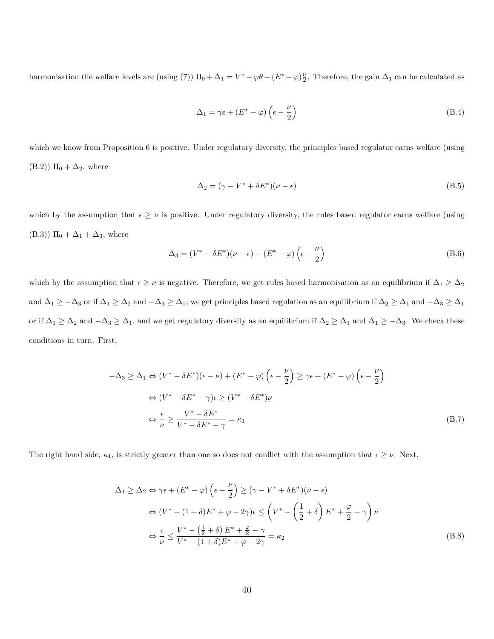harmonisation the welfare levels are (using (7))  $\Pi_0 + \Delta_1 = V^* - \varphi \theta - (E^* - \varphi) \frac{\nu}{2}$ . Therefore, the gain  $\Delta_1$  can be calculated as

$$
\Delta_1 = \gamma \epsilon + (E^* - \varphi) \left( \epsilon - \frac{\nu}{2} \right) \tag{B.4}
$$

which we know from Proposition 6 is positive. Under regulatory diversity, the principles based regulator earns welfare (using  $(B.2)$ )  $\Pi_0 + \Delta_2$ , where

$$
\Delta_2 = (\gamma - V^* + \delta E^*)(\nu - \epsilon) \tag{B.5}
$$

which by the assumption that  $\epsilon \geq \nu$  is positive. Under regulatory diversity, the rules based regulator earns welfare (using (B.3))  $\Pi_0 + \Delta_1 + \Delta_3$ , where

$$
\Delta_3 = (V^* - \delta E^*)(\nu - \epsilon) - (E^* - \varphi) \left(\epsilon - \frac{\nu}{2}\right)
$$
\n(B.6)

which by the assumption that  $\epsilon \geq \nu$  is negative. Therefore, we get rules based harmonisation as an equilibrium if  $\Delta_1 \geq \Delta_2$ and  $\Delta_1 \ge -\Delta_3$  or if  $\Delta_1 \ge \Delta_2$  and  $-\Delta_3 \ge \Delta_1$ ; we get principles based regulation as an equilibrium if  $\Delta_2 \ge \Delta_1$  and  $-\Delta_3 \ge \Delta_1$ or if  $\Delta_1 \geq \Delta_2$  and  $-\Delta_3 \geq \Delta_1$ , and we get regulatory diversity as an equilibrium if  $\Delta_2 \geq \Delta_1$  and  $\Delta_1 \geq -\Delta_3$ . We check these conditions in turn. First,

$$
-\Delta_3 \ge \Delta_1 \Leftrightarrow (V^* - \delta E^*)(\epsilon - \nu) + (E^* - \varphi) \left(\epsilon - \frac{\nu}{2}\right) \ge \gamma \epsilon + (E^* - \varphi) \left(\epsilon - \frac{\nu}{2}\right)
$$
  
\n
$$
\Leftrightarrow (V^* - \delta E^* - \gamma) \epsilon \ge (V^* - \delta E^*)\nu
$$
  
\n
$$
\Leftrightarrow \frac{\epsilon}{\nu} \ge \frac{V^* - \delta E^*}{V^* - \delta E^* - \gamma} = \kappa_1
$$
\n(B.7)

The right hand side,  $\kappa_1$ , is strictly greater than one so does not conflict with the assumption that  $\epsilon \geq \nu$ . Next,

$$
\Delta_1 \geq \Delta_2 \Leftrightarrow \gamma \epsilon + (E^* - \varphi) \left( \epsilon - \frac{\nu}{2} \right) \geq (\gamma - V^* + \delta E^*) (\nu - \epsilon)
$$
  
\n
$$
\Leftrightarrow (V^* - (1 + \delta) E^* + \varphi - 2\gamma) \epsilon \leq \left( V^* - \left( \frac{1}{2} + \delta \right) E^* + \frac{\varphi}{2} - \gamma \right) \nu
$$
  
\n
$$
\Leftrightarrow \frac{\epsilon}{\nu} \leq \frac{V^* - \left( \frac{1}{2} + \delta \right) E^* + \frac{\varphi}{2} - \gamma}{V^* - (1 + \delta) E^* + \varphi - 2\gamma} = \kappa_2
$$
 (B.8)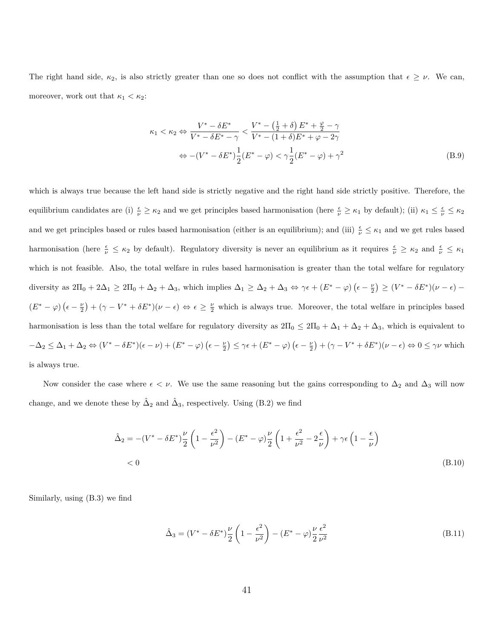The right hand side,  $\kappa_2$ , is also strictly greater than one so does not conflict with the assumption that  $\epsilon \geq \nu$ . We can, moreover, work out that  $\kappa_1 < \kappa_2$ :

$$
\kappa_1 < \kappa_2 \Leftrightarrow \frac{V^* - \delta E^*}{V^* - \delta E^* - \gamma} < \frac{V^* - \left(\frac{1}{2} + \delta\right)E^* + \frac{\varphi}{2} - \gamma}{V^* - (1 + \delta)E^* + \varphi - 2\gamma}
$$
\n
$$
\Leftrightarrow -(V^* - \delta E^*)\frac{1}{2}(E^* - \varphi) < \gamma\frac{1}{2}(E^* - \varphi) + \gamma^2 \tag{B.9}
$$

which is always true because the left hand side is strictly negative and the right hand side strictly positive. Therefore, the equilibrium candidates are (i)  $\frac{\epsilon}{\nu} \ge \kappa_2$  and we get principles based harmonisation (here  $\frac{\epsilon}{\nu} \ge \kappa_1$  by default); (ii)  $\kappa_1 \le \frac{\epsilon}{\nu} \le \kappa_2$ and we get principles based or rules based harmonisation (either is an equilibrium); and (iii)  $\frac{\epsilon}{\nu} \leq \kappa_1$  and we get rules based harmonisation (here  $\frac{\epsilon}{\nu} \leq \kappa_2$  by default). Regulatory diversity is never an equilibrium as it requires  $\frac{\epsilon}{\nu} \geq \kappa_2$  and  $\frac{\epsilon}{\nu} \leq \kappa_1$ which is not feasible. Also, the total welfare in rules based harmonisation is greater than the total welfare for regulatory diversity as  $2\Pi_0 + 2\Delta_1 \geq 2\Pi_0 + \Delta_2 + \Delta_3$ , which implies  $\Delta_1 \geq \Delta_2 + \Delta_3 \Leftrightarrow \gamma \epsilon + (E^* - \varphi)(\epsilon - \frac{\nu}{2}) \geq (V^* - \delta E^*)(\nu - \epsilon) (E^* - \varphi)(\epsilon - \frac{\nu}{2}) + (\gamma - V^* + \delta E^*)(\nu - \epsilon) \Leftrightarrow \epsilon \geq \frac{\nu}{2}$  which is always true. Moreover, the total welfare in principles based harmonisation is less than the total welfare for regulatory diversity as  $2\Pi_0 \leq 2\Pi_0 + \Delta_1 + \Delta_2 + \Delta_3$ , which is equivalent to  $-\Delta_2 \leq \Delta_1 + \Delta_2 \Leftrightarrow (V^* - \delta E^*)(\epsilon - \nu) + (E^* - \varphi)(\epsilon - \frac{\nu}{2}) \leq \gamma \epsilon + (E^* - \varphi)(\epsilon - \frac{\nu}{2}) + (\gamma - V^* + \delta E^*)(\nu - \epsilon) \Leftrightarrow 0 \leq \gamma \nu$  which is always true.

Now consider the case where  $\epsilon < \nu$ . We use the same reasoning but the gains corresponding to  $\Delta_2$  and  $\Delta_3$  will now change, and we denote these by  $\hat{\Delta}_2$  and  $\hat{\Delta}_3$ , respectively. Using (B.2) we find

$$
\begin{split} \hat{\Delta}_2 &= -\left(V^* - \delta E^*\right) \frac{\nu}{2} \left(1 - \frac{\epsilon^2}{\nu^2}\right) - \left(E^* - \varphi\right) \frac{\nu}{2} \left(1 + \frac{\epsilon^2}{\nu^2} - 2\frac{\epsilon}{\nu}\right) + \gamma \epsilon \left(1 - \frac{\epsilon}{\nu}\right) \\ &< 0 \end{split} \tag{B.10}
$$

Similarly, using (B.3) we find

$$
\hat{\Delta}_3 = (V^* - \delta E^*) \frac{\nu}{2} \left( 1 - \frac{\epsilon^2}{\nu^2} \right) - (E^* - \varphi) \frac{\nu}{2} \frac{\epsilon^2}{\nu^2}
$$
\n(B.11)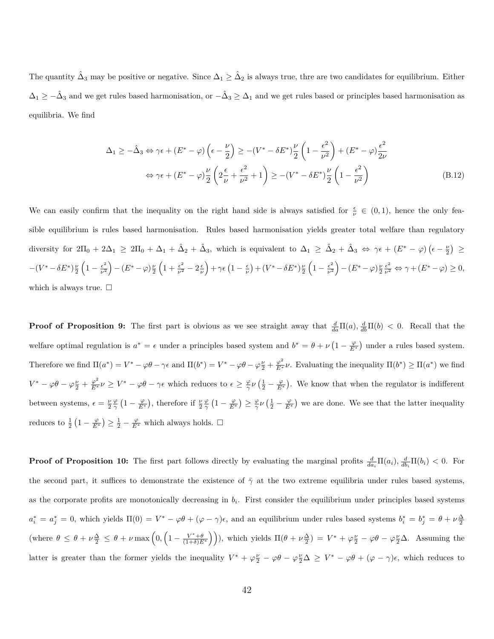The quantity  $\hat{\Delta}_3$  may be positive or negative. Since  $\Delta_1 \geq \hat{\Delta}_2$  is always true, thre are two candidates for equilibrium. Either  $\Delta_1 \geq -\hat{\Delta}_3$  and we get rules based harmonisation, or  $-\hat{\Delta}_3 \geq \Delta_1$  and we get rules based or principles based harmonisation as equilibria. We find

$$
\Delta_1 \ge -\hat{\Delta}_3 \Leftrightarrow \gamma \epsilon + (E^* - \varphi) \left( \epsilon - \frac{\nu}{2} \right) \ge -(V^* - \delta E^*) \frac{\nu}{2} \left( 1 - \frac{\epsilon^2}{\nu^2} \right) + (E^* - \varphi) \frac{\epsilon^2}{2\nu}
$$
  

$$
\Leftrightarrow \gamma \epsilon + (E^* - \varphi) \frac{\nu}{2} \left( 2\frac{\epsilon}{\nu} + \frac{\epsilon^2}{\nu^2} + 1 \right) \ge -(V^* - \delta E^*) \frac{\nu}{2} \left( 1 - \frac{\epsilon^2}{\nu^2} \right)
$$
(B.12)

We can easily confirm that the inequality on the right hand side is always satisfied for  $\frac{\epsilon}{\nu} \in (0,1)$ , hence the only feasible equilibrium is rules based harmonisation. Rules based harmonisation yields greater total welfare than regulatory diversity for  $2\Pi_0 + 2\Delta_1 \geq 2\Pi_0 + \Delta_1 + \hat{\Delta}_2 + \hat{\Delta}_3$ , which is equivalent to  $\Delta_1 \geq \hat{\Delta}_2 + \hat{\Delta}_3 \Leftrightarrow \gamma \epsilon + (E^* - \varphi)(\epsilon - \frac{\nu}{2}) \geq$  $-(V^*-\delta E^*)\frac{\nu}{2}\left(1-\frac{\epsilon^2}{\nu^2}\right)$  $\left(\frac{\epsilon^2}{\nu^2}\right) - \left(E^* - \varphi\right) \frac{\nu}{2} \left(1 + \frac{\epsilon^2}{\nu^2} - 2\frac{\epsilon}{\nu}\right) + \gamma \epsilon \left(1 - \frac{\epsilon}{\nu}\right) + \left(V^* - \delta E^*\right) \frac{\nu}{2} \left(1 - \frac{\epsilon^2}{\nu^2}\right)$  $\frac{\epsilon^2}{\nu^2}$  ) –  $(E^* - \varphi) \frac{\nu}{2} \frac{\epsilon^2}{\nu^2} \Leftrightarrow \gamma + (E^* - \varphi) \geq 0,$ which is always true.  $\square$ 

**Proof of Proposition 9:** The first part is obvious as we see straight away that  $\frac{d}{da}\Pi(a), \frac{d}{db}\Pi(b) < 0$ . Recall that the welfare optimal regulation is  $a^* = \epsilon$  under a principles based system and  $b^* = \theta + \nu \left(1 - \frac{\varphi}{E^*}\right)$  under a rules based system. Therefore we find  $\Pi(a^*) = V^* - \varphi\theta - \gamma\epsilon$  and  $\Pi(b^*) = V^* - \varphi\theta - \varphi\frac{\nu}{2} + \frac{\varphi^2}{E^*}\nu$ . Evaluating the inequality  $\Pi(b^*) \ge \Pi(a^*)$  we find  $V^* - \varphi \theta - \varphi \frac{\nu}{2} + \frac{\varphi^2}{E^*} \nu \geq V^* - \varphi \theta - \gamma \epsilon$  which reduces to  $\epsilon \geq \frac{\varphi}{\gamma} \nu \left( \frac{1}{2} - \frac{\varphi}{E^*} \right)$ . We know that when the regulator is indifferent between systems,  $\epsilon = \frac{\nu \varphi}{2 \gamma} \left(1 - \frac{\varphi}{E^*}\right)$ , therefore if  $\frac{\nu \varphi}{2 \gamma} \left(1 - \frac{\varphi}{E^*}\right) \ge \frac{\varphi}{\gamma} \nu \left(\frac{1}{2} - \frac{\varphi}{E^*}\right)$  we are done. We see that the latter inequality reduces to  $\frac{1}{2} \left( 1 - \frac{\varphi}{E^*} \right) \ge \frac{1}{2} - \frac{\varphi}{E^*}$  which always holds.  $\Box$ 

**Proof of Proposition 10:** The first part follows directly by evaluating the marginal profits  $\frac{d}{da_i} \Pi(a_i)$ ,  $\frac{d}{db_i} \Pi(b_i) < 0$ . For the second part, it suffices to demonstrate the existence of  $\bar{\gamma}$  at the two extreme equilibria under rules based systems, as the corporate profits are monotonically decreasing in  $b_i$ . First consider the equilibrium under principles based systems  $a_i^* = a_j^* = 0$ , which yields  $\Pi(0) = V^* - \varphi \theta + (\varphi - \gamma)\epsilon$ , and an equilibrium under rules based systems  $b_i^* = b_j^* = \theta + \nu \frac{\Delta}{2}$ (where  $\theta \leq \theta + \nu \frac{\Delta}{2} \leq \theta + \nu \max \left(0, \left(1 - \frac{V^* + \theta}{(1+\delta)E^*}\right)\right)$ ), which yields  $\Pi(\theta + \nu \frac{\Delta}{2}) = V^* + \varphi \frac{\nu}{2} - \varphi \theta - \varphi \frac{\nu}{2} \Delta$ . Assuming the latter is greater than the former yields the inequality  $V^* + \varphi \frac{\nu}{2} - \varphi \theta - \varphi \frac{\nu}{2} \Delta \geq V^* - \varphi \theta + (\varphi - \gamma)\epsilon$ , which reduces to